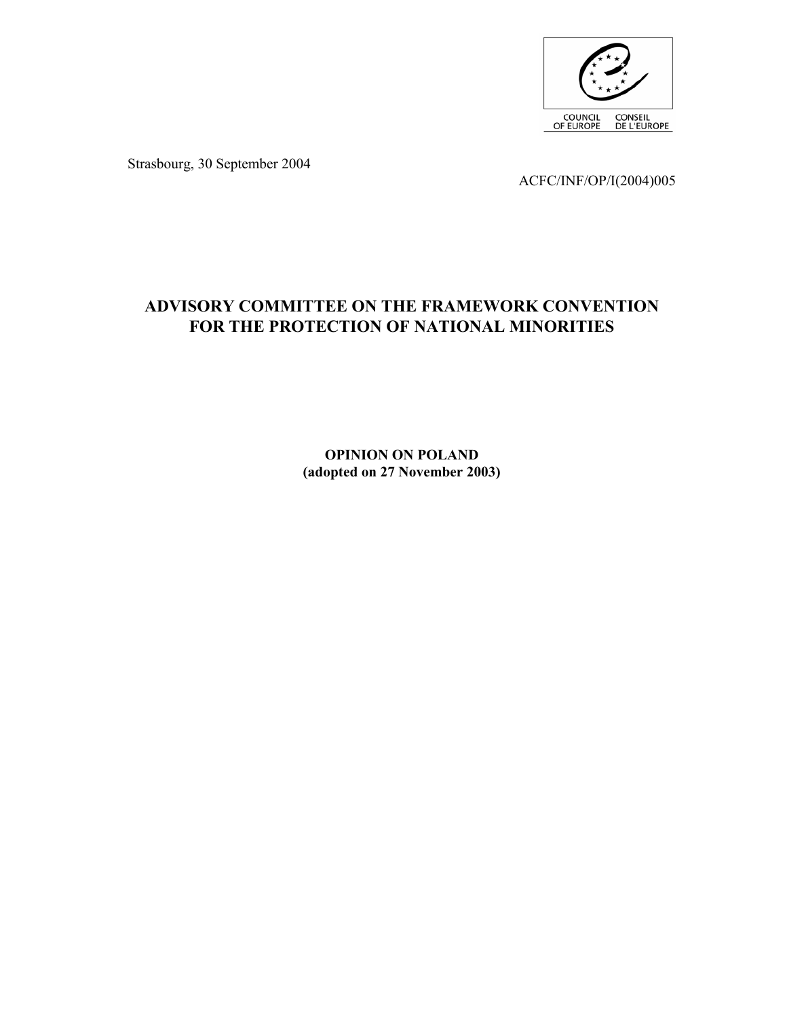

Strasbourg, 30 September 2004

ACFC/INF/OP/I(2004)005

# **ADVISORY COMMITTEE ON THE FRAMEWORK CONVENTION FOR THE PROTECTION OF NATIONAL MINORITIES**

**OPINION ON POLAND (adopted on 27 November 2003)**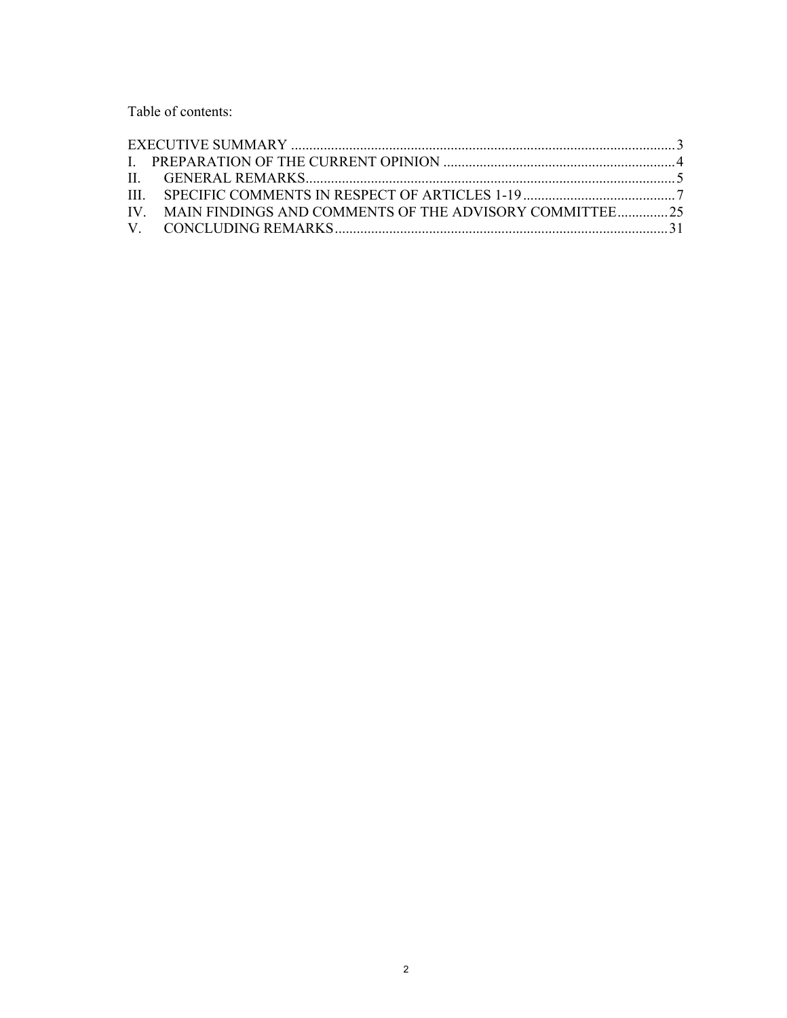Table of contents:

| IV. MAIN FINDINGS AND COMMENTS OF THE ADVISORY COMMITTEE25 |  |
|------------------------------------------------------------|--|
|                                                            |  |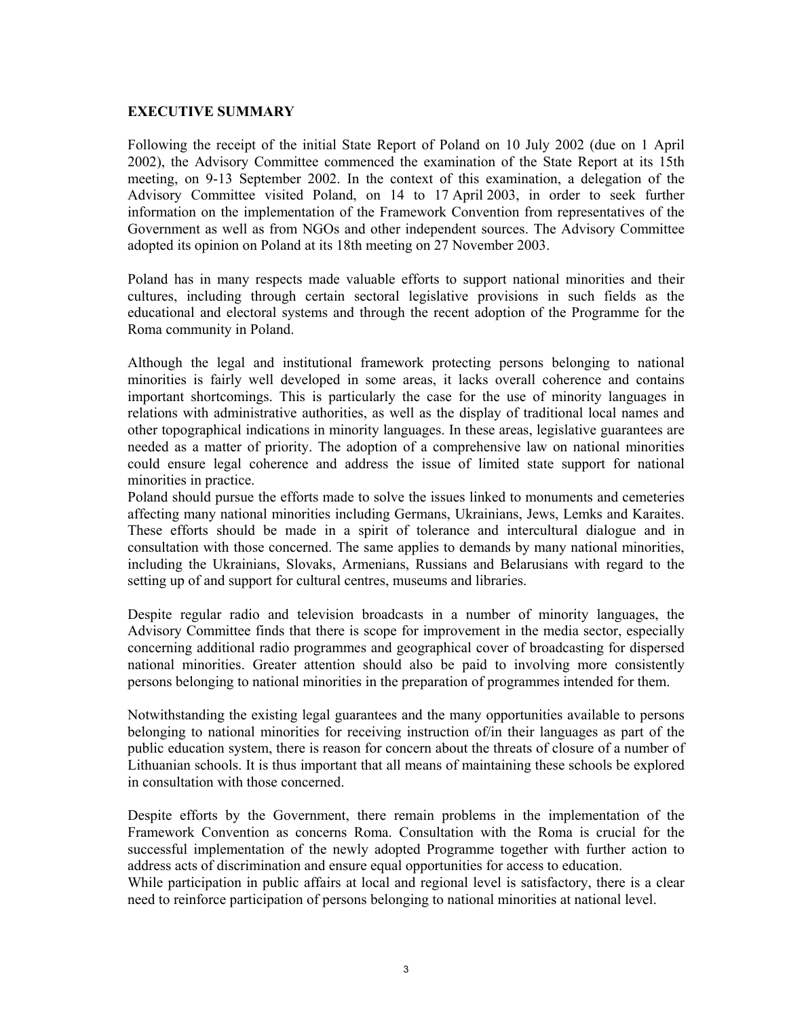#### **EXECUTIVE SUMMARY**

Following the receipt of the initial State Report of Poland on 10 July 2002 (due on 1 April 2002), the Advisory Committee commenced the examination of the State Report at its 15th meeting, on 9-13 September 2002. In the context of this examination, a delegation of the Advisory Committee visited Poland, on 14 to 17 April 2003, in order to seek further information on the implementation of the Framework Convention from representatives of the Government as well as from NGOs and other independent sources. The Advisory Committee adopted its opinion on Poland at its 18th meeting on 27 November 2003.

Poland has in many respects made valuable efforts to support national minorities and their cultures, including through certain sectoral legislative provisions in such fields as the educational and electoral systems and through the recent adoption of the Programme for the Roma community in Poland.

Although the legal and institutional framework protecting persons belonging to national minorities is fairly well developed in some areas, it lacks overall coherence and contains important shortcomings. This is particularly the case for the use of minority languages in relations with administrative authorities, as well as the display of traditional local names and other topographical indications in minority languages. In these areas, legislative guarantees are needed as a matter of priority. The adoption of a comprehensive law on national minorities could ensure legal coherence and address the issue of limited state support for national minorities in practice.

Poland should pursue the efforts made to solve the issues linked to monuments and cemeteries affecting many national minorities including Germans, Ukrainians, Jews, Lemks and Karaites. These efforts should be made in a spirit of tolerance and intercultural dialogue and in consultation with those concerned. The same applies to demands by many national minorities, including the Ukrainians, Slovaks, Armenians, Russians and Belarusians with regard to the setting up of and support for cultural centres, museums and libraries.

Despite regular radio and television broadcasts in a number of minority languages, the Advisory Committee finds that there is scope for improvement in the media sector, especially concerning additional radio programmes and geographical cover of broadcasting for dispersed national minorities. Greater attention should also be paid to involving more consistently persons belonging to national minorities in the preparation of programmes intended for them.

Notwithstanding the existing legal guarantees and the many opportunities available to persons belonging to national minorities for receiving instruction of/in their languages as part of the public education system, there is reason for concern about the threats of closure of a number of Lithuanian schools. It is thus important that all means of maintaining these schools be explored in consultation with those concerned.

Despite efforts by the Government, there remain problems in the implementation of the Framework Convention as concerns Roma. Consultation with the Roma is crucial for the successful implementation of the newly adopted Programme together with further action to address acts of discrimination and ensure equal opportunities for access to education.

While participation in public affairs at local and regional level is satisfactory, there is a clear need to reinforce participation of persons belonging to national minorities at national level.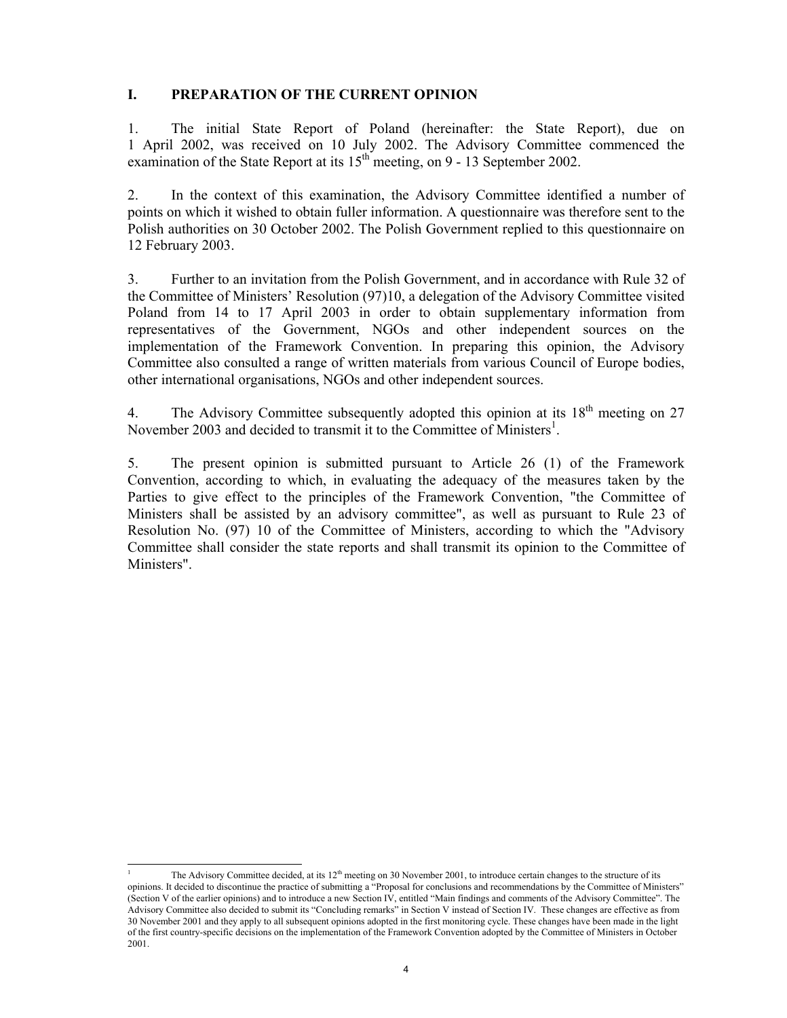## **I. PREPARATION OF THE CURRENT OPINION**

1. The initial State Report of Poland (hereinafter: the State Report), due on 1 April 2002, was received on 10 July 2002. The Advisory Committee commenced the examination of the State Report at its  $15<sup>th</sup>$  meeting, on 9 - 13 September 2002.

2. In the context of this examination, the Advisory Committee identified a number of points on which it wished to obtain fuller information. A questionnaire was therefore sent to the Polish authorities on 30 October 2002. The Polish Government replied to this questionnaire on 12 February 2003.

3. Further to an invitation from the Polish Government, and in accordance with Rule 32 of the Committee of Ministers' Resolution (97)10, a delegation of the Advisory Committee visited Poland from 14 to 17 April 2003 in order to obtain supplementary information from representatives of the Government, NGOs and other independent sources on the implementation of the Framework Convention. In preparing this opinion, the Advisory Committee also consulted a range of written materials from various Council of Europe bodies, other international organisations, NGOs and other independent sources.

4. The Advisory Committee subsequently adopted this opinion at its  $18<sup>th</sup>$  meeting on 27 November 2003 and decided to transmit it to the Committee of Ministers<sup>1</sup>.

5. The present opinion is submitted pursuant to Article 26 (1) of the Framework Convention, according to which, in evaluating the adequacy of the measures taken by the Parties to give effect to the principles of the Framework Convention, "the Committee of Ministers shall be assisted by an advisory committee", as well as pursuant to Rule 23 of Resolution No. (97) 10 of the Committee of Ministers, according to which the "Advisory Committee shall consider the state reports and shall transmit its opinion to the Committee of Ministers".

<sup>-</sup>1 The Advisory Committee decided, at its  $12<sup>th</sup>$  meeting on 30 November 2001, to introduce certain changes to the structure of its opinions. It decided to discontinue the practice of submitting a "Proposal for conclusions and recommendations by the Committee of Ministers" (Section V of the earlier opinions) and to introduce a new Section IV, entitled "Main findings and comments of the Advisory Committee". The Advisory Committee also decided to submit its "Concluding remarks" in Section V instead of Section IV. These changes are effective as from 30 November 2001 and they apply to all subsequent opinions adopted in the first monitoring cycle. These changes have been made in the light of the first country-specific decisions on the implementation of the Framework Convention adopted by the Committee of Ministers in October 2001.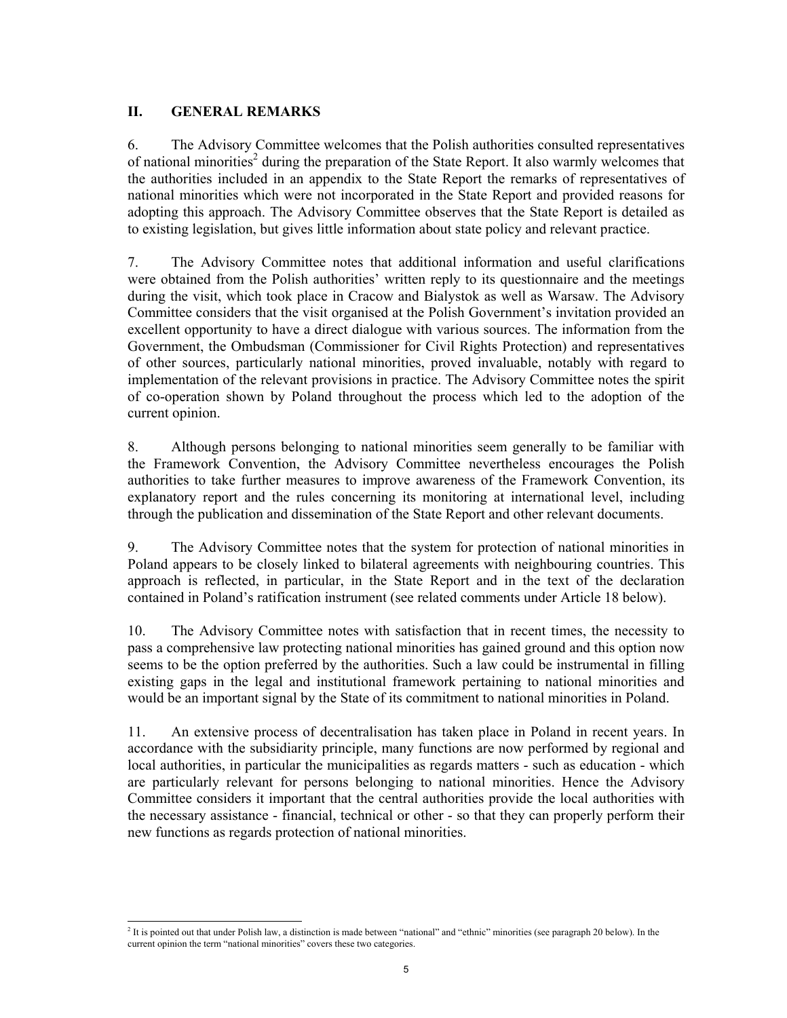## **II. GENERAL REMARKS**

-

6. The Advisory Committee welcomes that the Polish authorities consulted representatives of national minorities<sup>2</sup> during the preparation of the State Report. It also warmly welcomes that the authorities included in an appendix to the State Report the remarks of representatives of national minorities which were not incorporated in the State Report and provided reasons for adopting this approach. The Advisory Committee observes that the State Report is detailed as to existing legislation, but gives little information about state policy and relevant practice.

7. The Advisory Committee notes that additional information and useful clarifications were obtained from the Polish authorities' written reply to its questionnaire and the meetings during the visit, which took place in Cracow and Bialystok as well as Warsaw. The Advisory Committee considers that the visit organised at the Polish Government's invitation provided an excellent opportunity to have a direct dialogue with various sources. The information from the Government, the Ombudsman (Commissioner for Civil Rights Protection) and representatives of other sources, particularly national minorities, proved invaluable, notably with regard to implementation of the relevant provisions in practice. The Advisory Committee notes the spirit of co-operation shown by Poland throughout the process which led to the adoption of the current opinion.

8. Although persons belonging to national minorities seem generally to be familiar with the Framework Convention, the Advisory Committee nevertheless encourages the Polish authorities to take further measures to improve awareness of the Framework Convention, its explanatory report and the rules concerning its monitoring at international level, including through the publication and dissemination of the State Report and other relevant documents.

9. The Advisory Committee notes that the system for protection of national minorities in Poland appears to be closely linked to bilateral agreements with neighbouring countries. This approach is reflected, in particular, in the State Report and in the text of the declaration contained in Poland's ratification instrument (see related comments under Article 18 below).

10. The Advisory Committee notes with satisfaction that in recent times, the necessity to pass a comprehensive law protecting national minorities has gained ground and this option now seems to be the option preferred by the authorities. Such a law could be instrumental in filling existing gaps in the legal and institutional framework pertaining to national minorities and would be an important signal by the State of its commitment to national minorities in Poland.

11. An extensive process of decentralisation has taken place in Poland in recent years. In accordance with the subsidiarity principle, many functions are now performed by regional and local authorities, in particular the municipalities as regards matters - such as education - which are particularly relevant for persons belonging to national minorities. Hence the Advisory Committee considers it important that the central authorities provide the local authorities with the necessary assistance - financial, technical or other - so that they can properly perform their new functions as regards protection of national minorities.

 $<sup>2</sup>$  It is pointed out that under Polish law, a distinction is made between "national" and "ethnic" minorities (see paragraph 20 below). In the</sup> current opinion the term "national minorities" covers these two categories.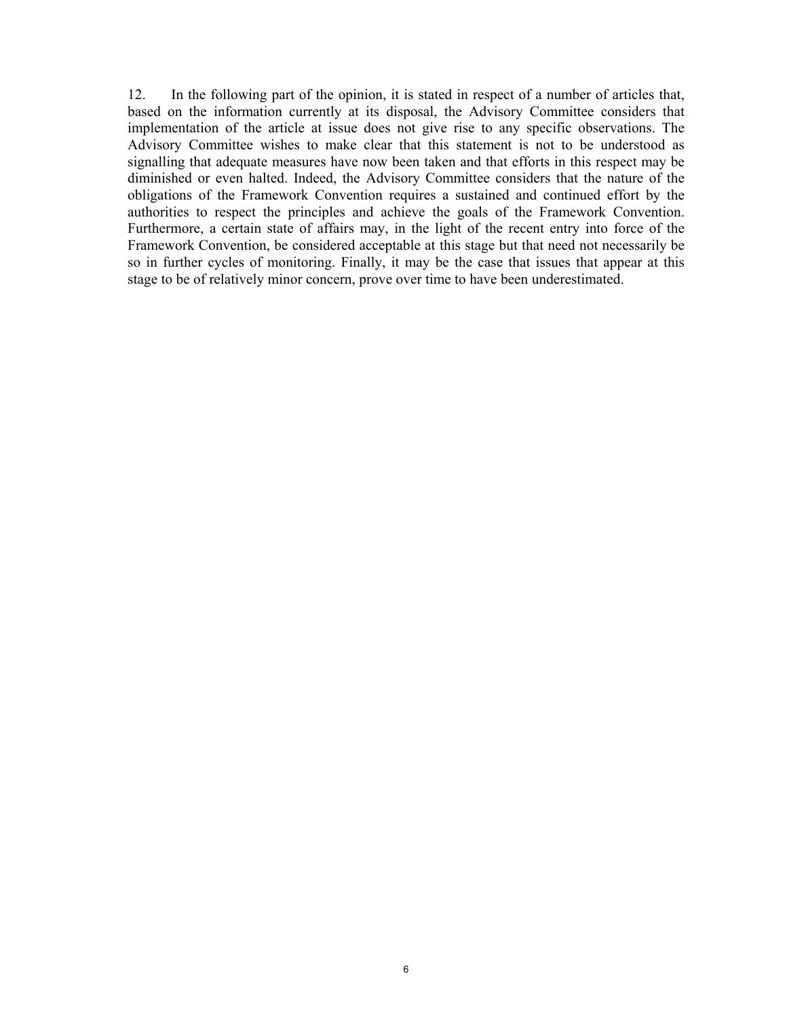12. In the following part of the opinion, it is stated in respect of a number of articles that, based on the information currently at its disposal, the Advisory Committee considers that implementation of the article at issue does not give rise to any specific observations. The Advisory Committee wishes to make clear that this statement is not to be understood as signalling that adequate measures have now been taken and that efforts in this respect may be diminished or even halted. Indeed, the Advisory Committee considers that the nature of the obligations of the Framework Convention requires a sustained and continued effort by the authorities to respect the principles and achieve the goals of the Framework Convention. Furthermore, a certain state of affairs may, in the light of the recent entry into force of the Framework Convention, be considered acceptable at this stage but that need not necessarily be so in further cycles of monitoring. Finally, it may be the case that issues that appear at this stage to be of relatively minor concern, prove over time to have been underestimated.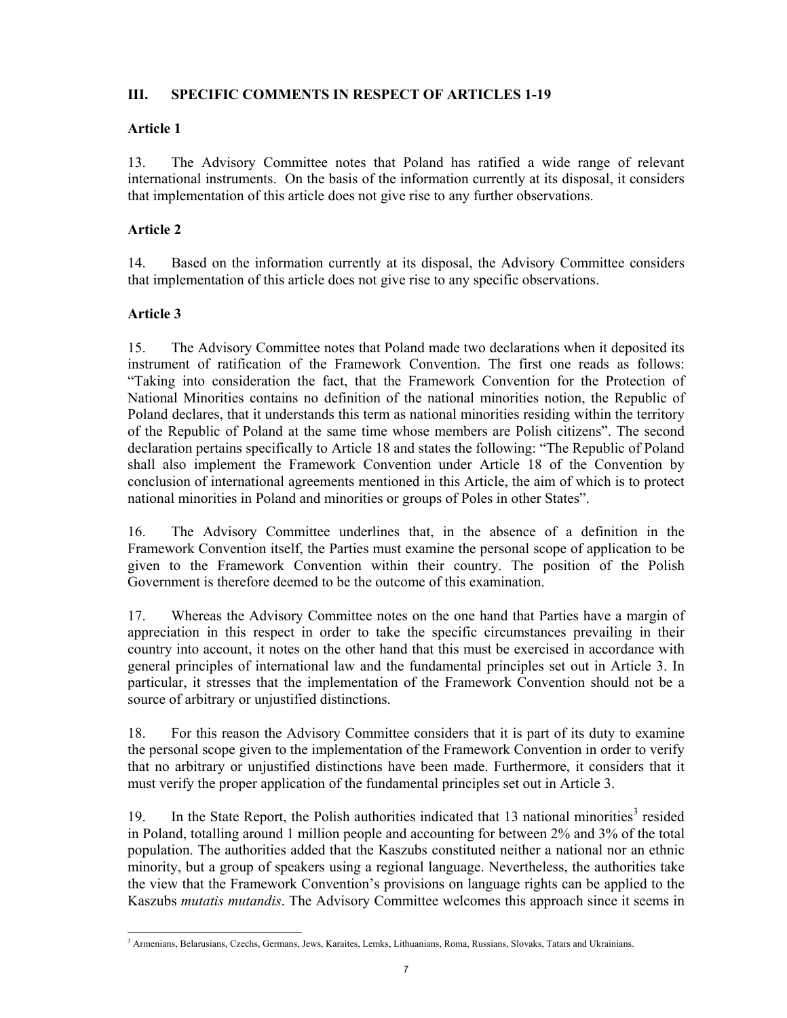## **III. SPECIFIC COMMENTS IN RESPECT OF ARTICLES 1-19**

## **Article 1**

13. The Advisory Committee notes that Poland has ratified a wide range of relevant international instruments. On the basis of the information currently at its disposal, it considers that implementation of this article does not give rise to any further observations.

## **Article 2**

14. Based on the information currently at its disposal, the Advisory Committee considers that implementation of this article does not give rise to any specific observations.

## **Article 3**

-

15. The Advisory Committee notes that Poland made two declarations when it deposited its instrument of ratification of the Framework Convention. The first one reads as follows: "Taking into consideration the fact, that the Framework Convention for the Protection of National Minorities contains no definition of the national minorities notion, the Republic of Poland declares, that it understands this term as national minorities residing within the territory of the Republic of Poland at the same time whose members are Polish citizens". The second declaration pertains specifically to Article 18 and states the following: "The Republic of Poland shall also implement the Framework Convention under Article 18 of the Convention by conclusion of international agreements mentioned in this Article, the aim of which is to protect national minorities in Poland and minorities or groups of Poles in other States".

16. The Advisory Committee underlines that, in the absence of a definition in the Framework Convention itself, the Parties must examine the personal scope of application to be given to the Framework Convention within their country. The position of the Polish Government is therefore deemed to be the outcome of this examination.

17. Whereas the Advisory Committee notes on the one hand that Parties have a margin of appreciation in this respect in order to take the specific circumstances prevailing in their country into account, it notes on the other hand that this must be exercised in accordance with general principles of international law and the fundamental principles set out in Article 3. In particular, it stresses that the implementation of the Framework Convention should not be a source of arbitrary or unjustified distinctions.

18. For this reason the Advisory Committee considers that it is part of its duty to examine the personal scope given to the implementation of the Framework Convention in order to verify that no arbitrary or unjustified distinctions have been made. Furthermore, it considers that it must verify the proper application of the fundamental principles set out in Article 3.

19. In the State Report, the Polish authorities indicated that 13 national minorities<sup>3</sup> resided in Poland, totalling around 1 million people and accounting for between 2% and 3% of the total population. The authorities added that the Kaszubs constituted neither a national nor an ethnic minority, but a group of speakers using a regional language. Nevertheless, the authorities take the view that the Framework Convention's provisions on language rights can be applied to the Kaszubs *mutatis mutandis*. The Advisory Committee welcomes this approach since it seems in

<sup>&</sup>lt;sup>3</sup> Armenians, Belarusians, Czechs, Germans, Jews, Karaites, Lemks, Lithuanians, Roma, Russians, Slovaks, Tatars and Ukrainians.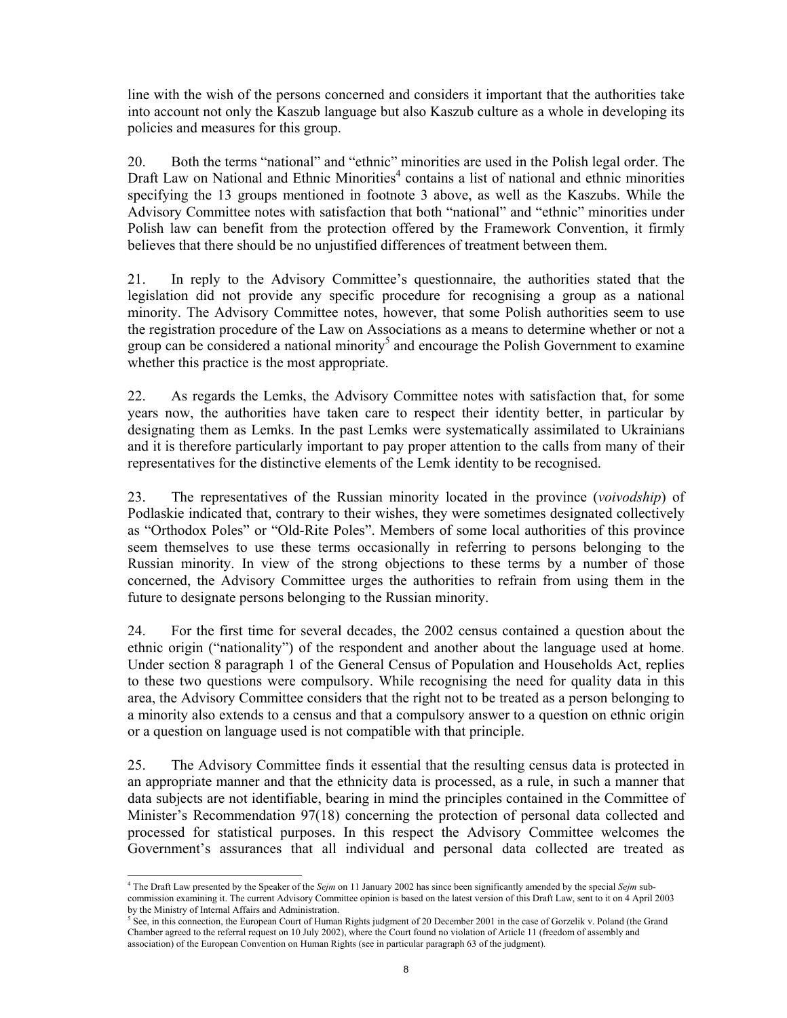line with the wish of the persons concerned and considers it important that the authorities take into account not only the Kaszub language but also Kaszub culture as a whole in developing its policies and measures for this group.

20. Both the terms "national" and "ethnic" minorities are used in the Polish legal order. The Draft Law on National and Ethnic Minorities<sup>4</sup> contains a list of national and ethnic minorities specifying the 13 groups mentioned in footnote 3 above, as well as the Kaszubs. While the Advisory Committee notes with satisfaction that both "national" and "ethnic" minorities under Polish law can benefit from the protection offered by the Framework Convention, it firmly believes that there should be no unjustified differences of treatment between them.

21. In reply to the Advisory Committee's questionnaire, the authorities stated that the legislation did not provide any specific procedure for recognising a group as a national minority. The Advisory Committee notes, however, that some Polish authorities seem to use the registration procedure of the Law on Associations as a means to determine whether or not a group can be considered a national minority<sup>5</sup> and encourage the Polish Government to examine whether this practice is the most appropriate.

22. As regards the Lemks, the Advisory Committee notes with satisfaction that, for some years now, the authorities have taken care to respect their identity better, in particular by designating them as Lemks. In the past Lemks were systematically assimilated to Ukrainians and it is therefore particularly important to pay proper attention to the calls from many of their representatives for the distinctive elements of the Lemk identity to be recognised.

23. The representatives of the Russian minority located in the province (*voivodship*) of Podlaskie indicated that, contrary to their wishes, they were sometimes designated collectively as "Orthodox Poles" or "Old-Rite Poles". Members of some local authorities of this province seem themselves to use these terms occasionally in referring to persons belonging to the Russian minority. In view of the strong objections to these terms by a number of those concerned, the Advisory Committee urges the authorities to refrain from using them in the future to designate persons belonging to the Russian minority.

24. For the first time for several decades, the 2002 census contained a question about the ethnic origin ("nationality") of the respondent and another about the language used at home. Under section 8 paragraph 1 of the General Census of Population and Households Act, replies to these two questions were compulsory. While recognising the need for quality data in this area, the Advisory Committee considers that the right not to be treated as a person belonging to a minority also extends to a census and that a compulsory answer to a question on ethnic origin or a question on language used is not compatible with that principle.

25. The Advisory Committee finds it essential that the resulting census data is protected in an appropriate manner and that the ethnicity data is processed, as a rule, in such a manner that data subjects are not identifiable, bearing in mind the principles contained in the Committee of Minister's Recommendation 97(18) concerning the protection of personal data collected and processed for statistical purposes. In this respect the Advisory Committee welcomes the Government's assurances that all individual and personal data collected are treated as

<sup>-</sup>4 The Draft Law presented by the Speaker of the *Sejm* on 11 January 2002 has since been significantly amended by the special *Sejm* subcommission examining it. The current Advisory Committee opinion is based on the latest version of this Draft Law, sent to it on 4 April 2003 by the Ministry of Internal Affairs and Administration.

 $<sup>5</sup>$  See, in this connection, the European Court of Human Rights judgment of 20 December 2001 in the case of Gorzelik v. Poland (the Grand</sup> Chamber agreed to the referral request on 10 July 2002), where the Court found no violation of Article 11 (freedom of assembly and association) of the European Convention on Human Rights (see in particular paragraph 63 of the judgment).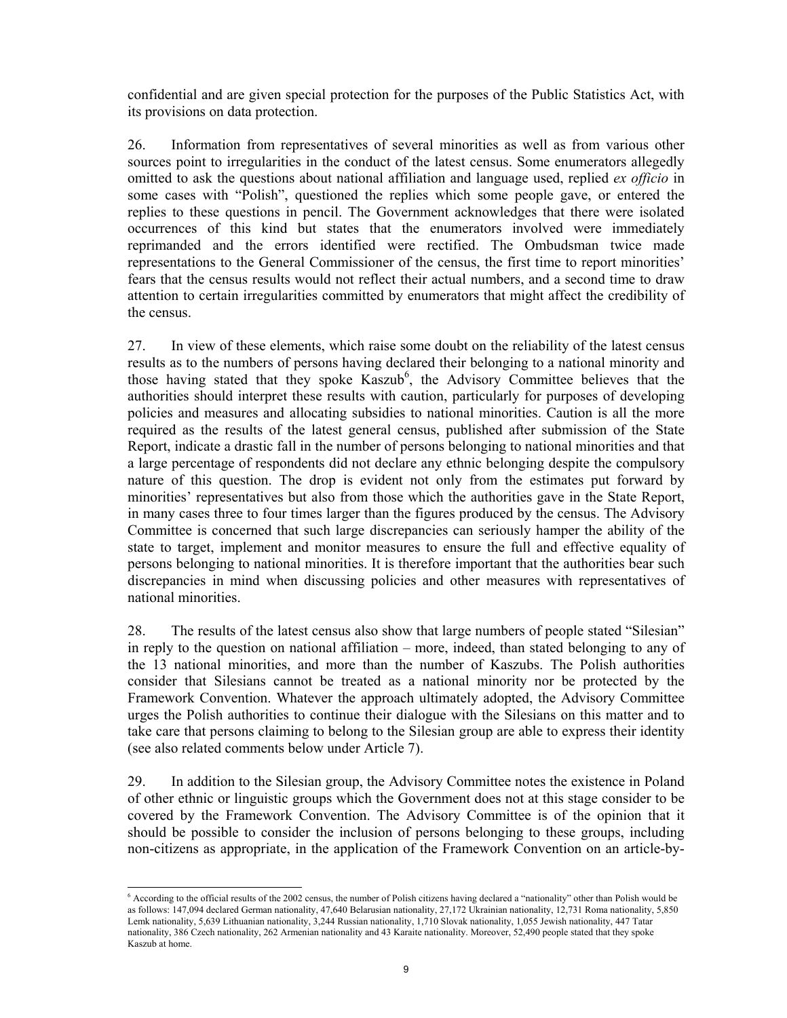confidential and are given special protection for the purposes of the Public Statistics Act, with its provisions on data protection.

26. Information from representatives of several minorities as well as from various other sources point to irregularities in the conduct of the latest census. Some enumerators allegedly omitted to ask the questions about national affiliation and language used, replied *ex officio* in some cases with "Polish", questioned the replies which some people gave, or entered the replies to these questions in pencil. The Government acknowledges that there were isolated occurrences of this kind but states that the enumerators involved were immediately reprimanded and the errors identified were rectified. The Ombudsman twice made representations to the General Commissioner of the census, the first time to report minorities' fears that the census results would not reflect their actual numbers, and a second time to draw attention to certain irregularities committed by enumerators that might affect the credibility of the census.

27. In view of these elements, which raise some doubt on the reliability of the latest census results as to the numbers of persons having declared their belonging to a national minority and those having stated that they spoke Kaszub<sup>6</sup>, the Advisory Committee believes that the authorities should interpret these results with caution, particularly for purposes of developing policies and measures and allocating subsidies to national minorities. Caution is all the more required as the results of the latest general census, published after submission of the State Report, indicate a drastic fall in the number of persons belonging to national minorities and that a large percentage of respondents did not declare any ethnic belonging despite the compulsory nature of this question. The drop is evident not only from the estimates put forward by minorities' representatives but also from those which the authorities gave in the State Report, in many cases three to four times larger than the figures produced by the census. The Advisory Committee is concerned that such large discrepancies can seriously hamper the ability of the state to target, implement and monitor measures to ensure the full and effective equality of persons belonging to national minorities. It is therefore important that the authorities bear such discrepancies in mind when discussing policies and other measures with representatives of national minorities.

28. The results of the latest census also show that large numbers of people stated "Silesian" in reply to the question on national affiliation – more, indeed, than stated belonging to any of the 13 national minorities, and more than the number of Kaszubs. The Polish authorities consider that Silesians cannot be treated as a national minority nor be protected by the Framework Convention. Whatever the approach ultimately adopted, the Advisory Committee urges the Polish authorities to continue their dialogue with the Silesians on this matter and to take care that persons claiming to belong to the Silesian group are able to express their identity (see also related comments below under Article 7).

29. In addition to the Silesian group, the Advisory Committee notes the existence in Poland of other ethnic or linguistic groups which the Government does not at this stage consider to be covered by the Framework Convention. The Advisory Committee is of the opinion that it should be possible to consider the inclusion of persons belonging to these groups, including non-citizens as appropriate, in the application of the Framework Convention on an article-by-

 6 According to the official results of the 2002 census, the number of Polish citizens having declared a "nationality" other than Polish would be as follows: 147,094 declared German nationality, 47,640 Belarusian nationality, 27,172 Ukrainian nationality, 12,731 Roma nationality, 5,850 Lemk nationality, 5,639 Lithuanian nationality, 3,244 Russian nationality, 1,710 Slovak nationality, 1,055 Jewish nationality, 447 Tatar nationality, 386 Czech nationality, 262 Armenian nationality and 43 Karaite nationality. Moreover, 52,490 people stated that they spoke Kaszub at home.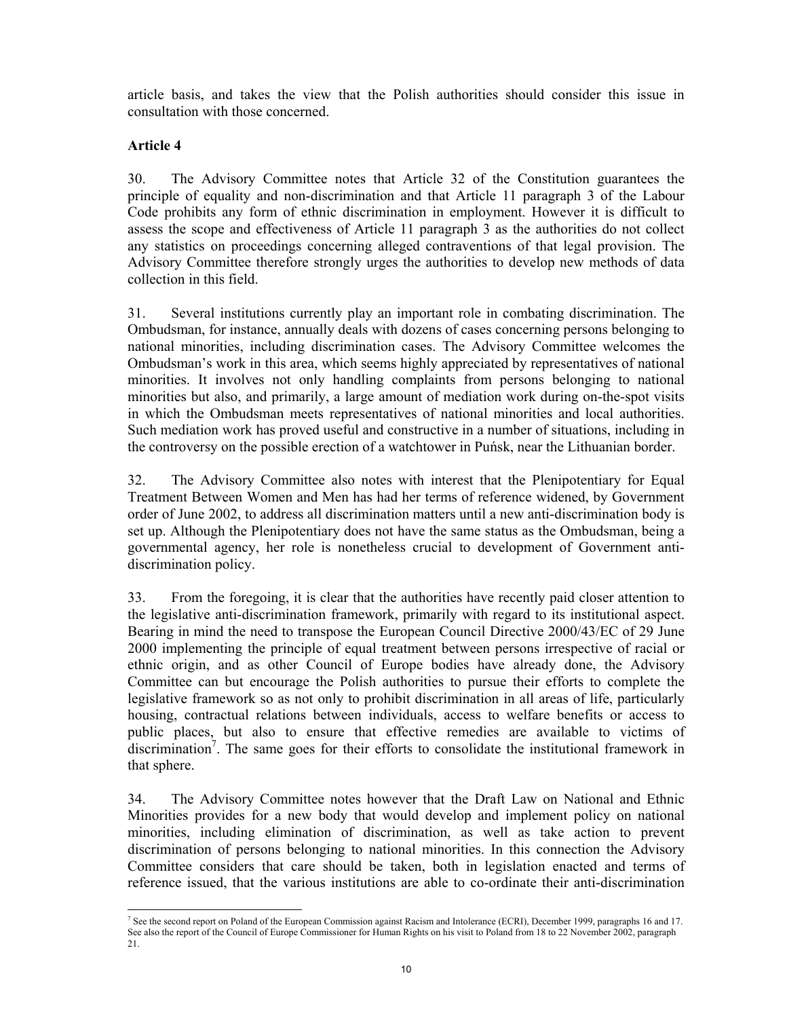article basis, and takes the view that the Polish authorities should consider this issue in consultation with those concerned.

## **Article 4**

-

30. The Advisory Committee notes that Article 32 of the Constitution guarantees the principle of equality and non-discrimination and that Article 11 paragraph 3 of the Labour Code prohibits any form of ethnic discrimination in employment. However it is difficult to assess the scope and effectiveness of Article 11 paragraph 3 as the authorities do not collect any statistics on proceedings concerning alleged contraventions of that legal provision. The Advisory Committee therefore strongly urges the authorities to develop new methods of data collection in this field.

31. Several institutions currently play an important role in combating discrimination. The Ombudsman, for instance, annually deals with dozens of cases concerning persons belonging to national minorities, including discrimination cases. The Advisory Committee welcomes the Ombudsman's work in this area, which seems highly appreciated by representatives of national minorities. It involves not only handling complaints from persons belonging to national minorities but also, and primarily, a large amount of mediation work during on-the-spot visits in which the Ombudsman meets representatives of national minorities and local authorities. Such mediation work has proved useful and constructive in a number of situations, including in the controversy on the possible erection of a watchtower in Puńsk, near the Lithuanian border.

32. The Advisory Committee also notes with interest that the Plenipotentiary for Equal Treatment Between Women and Men has had her terms of reference widened, by Government order of June 2002, to address all discrimination matters until a new anti-discrimination body is set up. Although the Plenipotentiary does not have the same status as the Ombudsman, being a governmental agency, her role is nonetheless crucial to development of Government antidiscrimination policy.

33. From the foregoing, it is clear that the authorities have recently paid closer attention to the legislative anti-discrimination framework, primarily with regard to its institutional aspect. Bearing in mind the need to transpose the European Council Directive 2000/43/EC of 29 June 2000 implementing the principle of equal treatment between persons irrespective of racial or ethnic origin, and as other Council of Europe bodies have already done, the Advisory Committee can but encourage the Polish authorities to pursue their efforts to complete the legislative framework so as not only to prohibit discrimination in all areas of life, particularly housing, contractual relations between individuals, access to welfare benefits or access to public places, but also to ensure that effective remedies are available to victims of discrimination<sup>7</sup>. The same goes for their efforts to consolidate the institutional framework in that sphere.

34. The Advisory Committee notes however that the Draft Law on National and Ethnic Minorities provides for a new body that would develop and implement policy on national minorities, including elimination of discrimination, as well as take action to prevent discrimination of persons belonging to national minorities. In this connection the Advisory Committee considers that care should be taken, both in legislation enacted and terms of reference issued, that the various institutions are able to co-ordinate their anti-discrimination

<sup>&</sup>lt;sup>7</sup> See the second report on Poland of the European Commission against Racism and Intolerance (ECRI), December 1999, paragraphs 16 and 17. See also the report of the Council of Europe Commissioner for Human Rights on his visit to Poland from 18 to 22 November 2002, paragraph 21.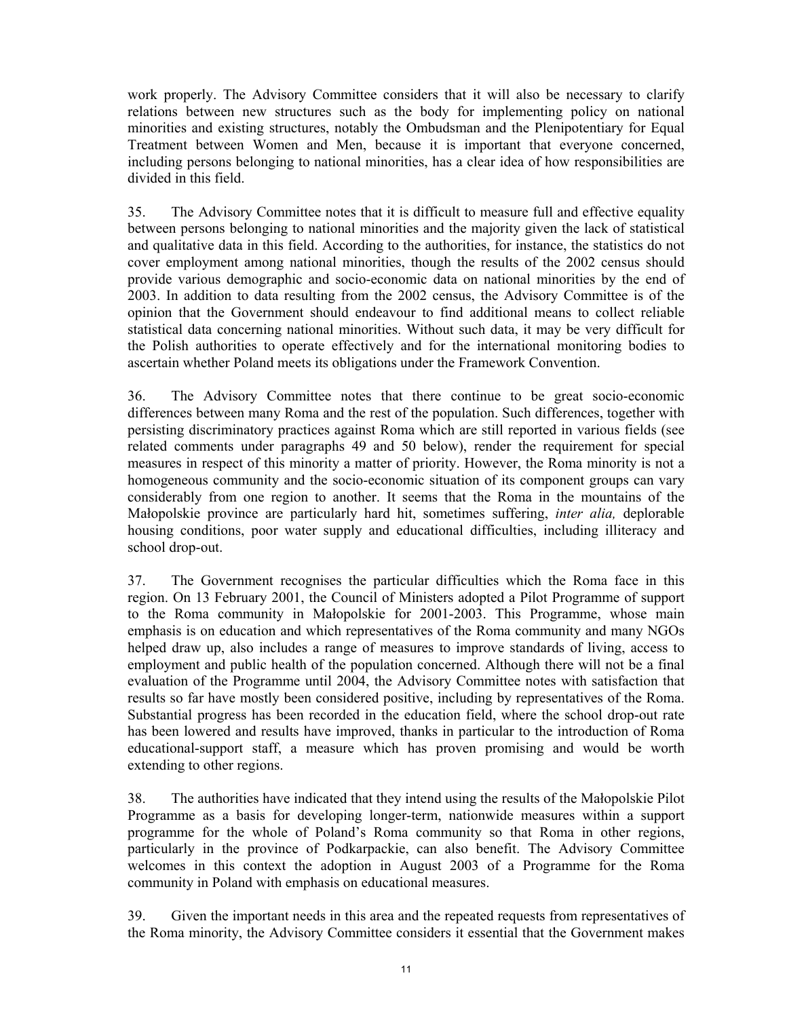work properly. The Advisory Committee considers that it will also be necessary to clarify relations between new structures such as the body for implementing policy on national minorities and existing structures, notably the Ombudsman and the Plenipotentiary for Equal Treatment between Women and Men, because it is important that everyone concerned, including persons belonging to national minorities, has a clear idea of how responsibilities are divided in this field.

35. The Advisory Committee notes that it is difficult to measure full and effective equality between persons belonging to national minorities and the majority given the lack of statistical and qualitative data in this field. According to the authorities, for instance, the statistics do not cover employment among national minorities, though the results of the 2002 census should provide various demographic and socio-economic data on national minorities by the end of 2003. In addition to data resulting from the 2002 census, the Advisory Committee is of the opinion that the Government should endeavour to find additional means to collect reliable statistical data concerning national minorities. Without such data, it may be very difficult for the Polish authorities to operate effectively and for the international monitoring bodies to ascertain whether Poland meets its obligations under the Framework Convention.

36. The Advisory Committee notes that there continue to be great socio-economic differences between many Roma and the rest of the population. Such differences, together with persisting discriminatory practices against Roma which are still reported in various fields (see related comments under paragraphs 49 and 50 below), render the requirement for special measures in respect of this minority a matter of priority. However, the Roma minority is not a homogeneous community and the socio-economic situation of its component groups can vary considerably from one region to another. It seems that the Roma in the mountains of the Małopolskie province are particularly hard hit, sometimes suffering, *inter alia,* deplorable housing conditions, poor water supply and educational difficulties, including illiteracy and school drop-out.

37. The Government recognises the particular difficulties which the Roma face in this region. On 13 February 2001, the Council of Ministers adopted a Pilot Programme of support to the Roma community in Małopolskie for 2001-2003. This Programme, whose main emphasis is on education and which representatives of the Roma community and many NGOs helped draw up, also includes a range of measures to improve standards of living, access to employment and public health of the population concerned. Although there will not be a final evaluation of the Programme until 2004, the Advisory Committee notes with satisfaction that results so far have mostly been considered positive, including by representatives of the Roma. Substantial progress has been recorded in the education field, where the school drop-out rate has been lowered and results have improved, thanks in particular to the introduction of Roma educational-support staff, a measure which has proven promising and would be worth extending to other regions.

38. The authorities have indicated that they intend using the results of the Małopolskie Pilot Programme as a basis for developing longer-term, nationwide measures within a support programme for the whole of Poland's Roma community so that Roma in other regions, particularly in the province of Podkarpackie, can also benefit. The Advisory Committee welcomes in this context the adoption in August 2003 of a Programme for the Roma community in Poland with emphasis on educational measures.

39. Given the important needs in this area and the repeated requests from representatives of the Roma minority, the Advisory Committee considers it essential that the Government makes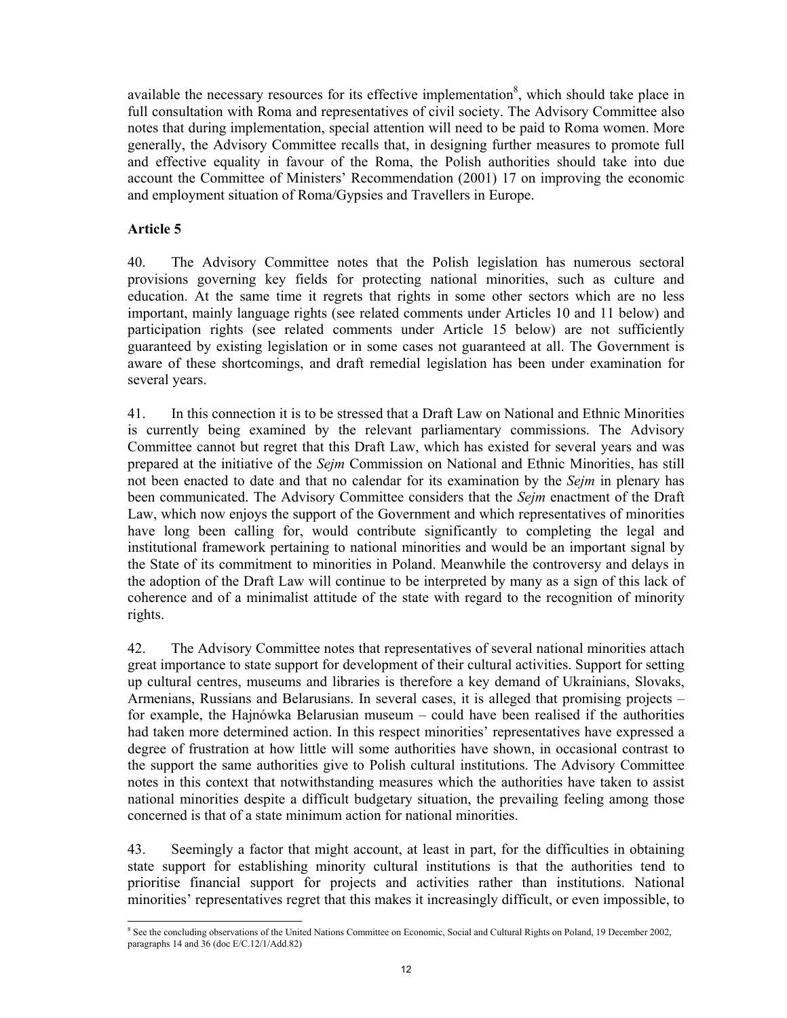available the necessary resources for its effective implementation<sup>8</sup>, which should take place in full consultation with Roma and representatives of civil society. The Advisory Committee also notes that during implementation, special attention will need to be paid to Roma women. More generally, the Advisory Committee recalls that, in designing further measures to promote full and effective equality in favour of the Roma, the Polish authorities should take into due account the Committee of Ministers' Recommendation (2001) 17 on improving the economic and employment situation of Roma/Gypsies and Travellers in Europe.

## **Article 5**

40. The Advisory Committee notes that the Polish legislation has numerous sectoral provisions governing key fields for protecting national minorities, such as culture and education. At the same time it regrets that rights in some other sectors which are no less important, mainly language rights (see related comments under Articles 10 and 11 below) and participation rights (see related comments under Article 15 below) are not sufficiently guaranteed by existing legislation or in some cases not guaranteed at all. The Government is aware of these shortcomings, and draft remedial legislation has been under examination for several years.

41. In this connection it is to be stressed that a Draft Law on National and Ethnic Minorities is currently being examined by the relevant parliamentary commissions. The Advisory Committee cannot but regret that this Draft Law, which has existed for several years and was prepared at the initiative of the *Sejm* Commission on National and Ethnic Minorities, has still not been enacted to date and that no calendar for its examination by the *Sejm* in plenary has been communicated. The Advisory Committee considers that the *Sejm* enactment of the Draft Law, which now enjoys the support of the Government and which representatives of minorities have long been calling for, would contribute significantly to completing the legal and institutional framework pertaining to national minorities and would be an important signal by the State of its commitment to minorities in Poland. Meanwhile the controversy and delays in the adoption of the Draft Law will continue to be interpreted by many as a sign of this lack of coherence and of a minimalist attitude of the state with regard to the recognition of minority rights.

42. The Advisory Committee notes that representatives of several national minorities attach great importance to state support for development of their cultural activities. Support for setting up cultural centres, museums and libraries is therefore a key demand of Ukrainians, Slovaks, Armenians, Russians and Belarusians. In several cases, it is alleged that promising projects – for example, the Hajnówka Belarusian museum – could have been realised if the authorities had taken more determined action. In this respect minorities' representatives have expressed a degree of frustration at how little will some authorities have shown, in occasional contrast to the support the same authorities give to Polish cultural institutions. The Advisory Committee notes in this context that notwithstanding measures which the authorities have taken to assist national minorities despite a difficult budgetary situation, the prevailing feeling among those concerned is that of a state minimum action for national minorities.

43. Seemingly a factor that might account, at least in part, for the difficulties in obtaining state support for establishing minority cultural institutions is that the authorities tend to prioritise financial support for projects and activities rather than institutions. National minorities' representatives regret that this makes it increasingly difficult, or even impossible, to

<sup>-</sup><sup>8</sup> See the concluding observations of the United Nations Committee on Economic, Social and Cultural Rights on Poland, 19 December 2002, paragraphs 14 and 36 (doc E/C.12/1/Add.82)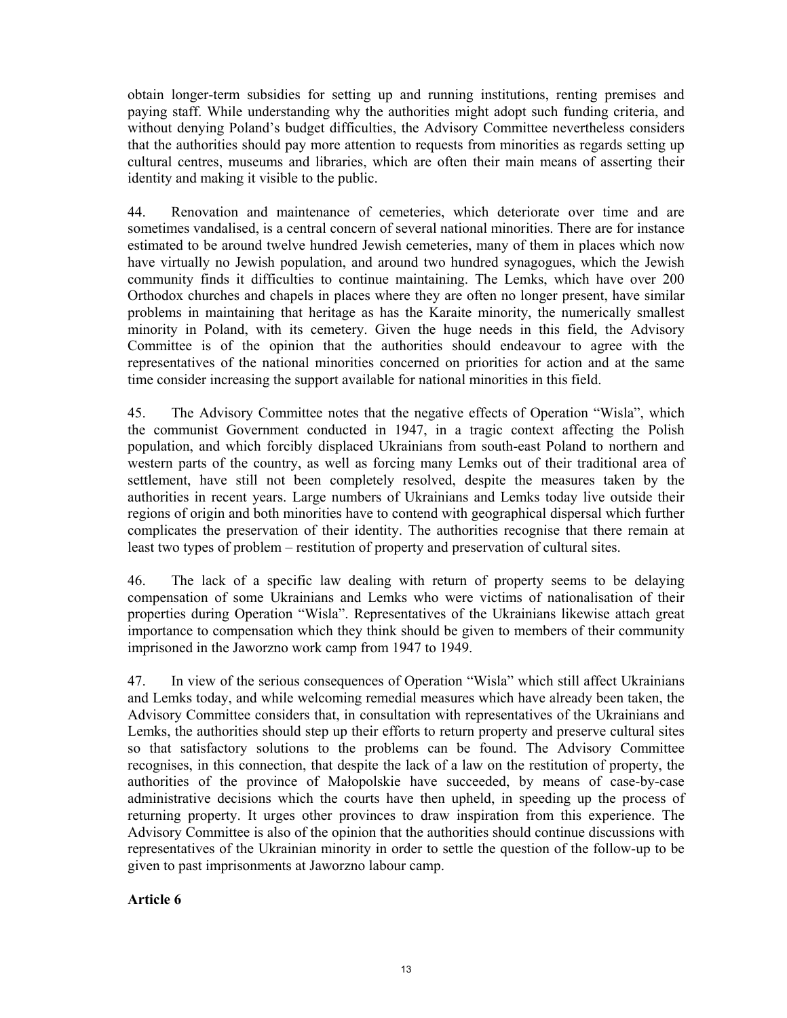obtain longer-term subsidies for setting up and running institutions, renting premises and paying staff. While understanding why the authorities might adopt such funding criteria, and without denying Poland's budget difficulties, the Advisory Committee nevertheless considers that the authorities should pay more attention to requests from minorities as regards setting up cultural centres, museums and libraries, which are often their main means of asserting their identity and making it visible to the public.

44. Renovation and maintenance of cemeteries, which deteriorate over time and are sometimes vandalised, is a central concern of several national minorities. There are for instance estimated to be around twelve hundred Jewish cemeteries, many of them in places which now have virtually no Jewish population, and around two hundred synagogues, which the Jewish community finds it difficulties to continue maintaining. The Lemks, which have over 200 Orthodox churches and chapels in places where they are often no longer present, have similar problems in maintaining that heritage as has the Karaite minority, the numerically smallest minority in Poland, with its cemetery. Given the huge needs in this field, the Advisory Committee is of the opinion that the authorities should endeavour to agree with the representatives of the national minorities concerned on priorities for action and at the same time consider increasing the support available for national minorities in this field.

45. The Advisory Committee notes that the negative effects of Operation "Wisla", which the communist Government conducted in 1947, in a tragic context affecting the Polish population, and which forcibly displaced Ukrainians from south-east Poland to northern and western parts of the country, as well as forcing many Lemks out of their traditional area of settlement, have still not been completely resolved, despite the measures taken by the authorities in recent years. Large numbers of Ukrainians and Lemks today live outside their regions of origin and both minorities have to contend with geographical dispersal which further complicates the preservation of their identity. The authorities recognise that there remain at least two types of problem – restitution of property and preservation of cultural sites.

46. The lack of a specific law dealing with return of property seems to be delaying compensation of some Ukrainians and Lemks who were victims of nationalisation of their properties during Operation "Wisla". Representatives of the Ukrainians likewise attach great importance to compensation which they think should be given to members of their community imprisoned in the Jaworzno work camp from 1947 to 1949.

47. In view of the serious consequences of Operation "Wisla" which still affect Ukrainians and Lemks today, and while welcoming remedial measures which have already been taken, the Advisory Committee considers that, in consultation with representatives of the Ukrainians and Lemks, the authorities should step up their efforts to return property and preserve cultural sites so that satisfactory solutions to the problems can be found. The Advisory Committee recognises, in this connection, that despite the lack of a law on the restitution of property, the authorities of the province of Małopolskie have succeeded, by means of case-by-case administrative decisions which the courts have then upheld, in speeding up the process of returning property. It urges other provinces to draw inspiration from this experience. The Advisory Committee is also of the opinion that the authorities should continue discussions with representatives of the Ukrainian minority in order to settle the question of the follow-up to be given to past imprisonments at Jaworzno labour camp.

#### **Article 6**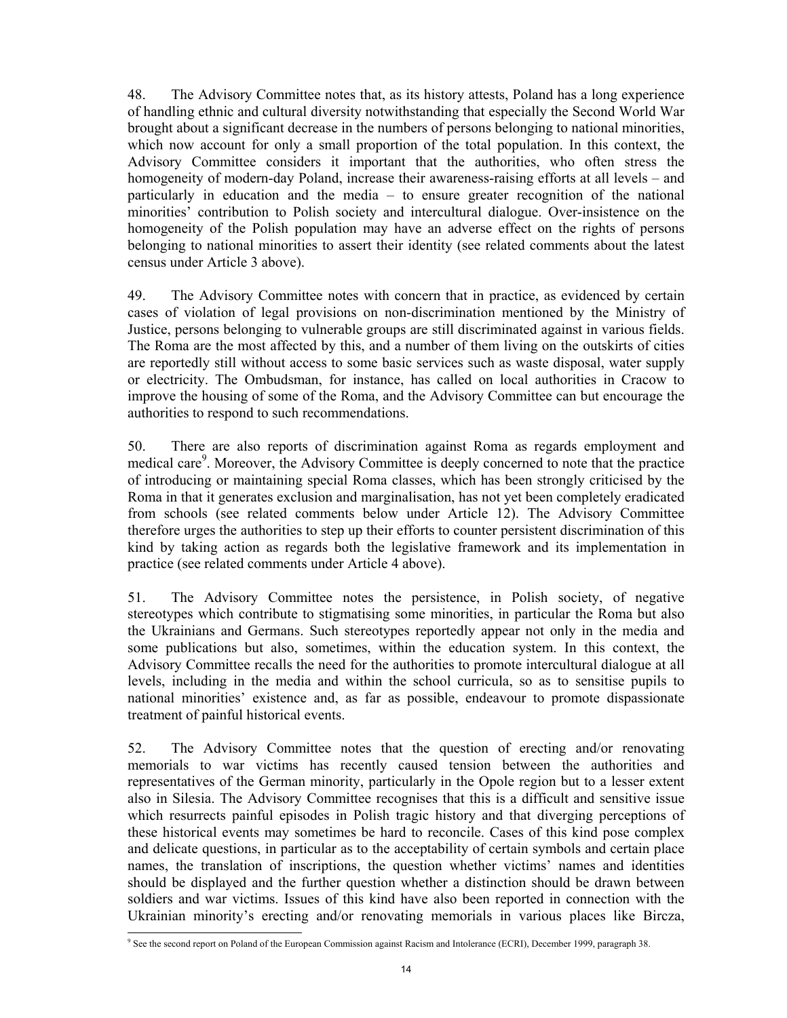48. The Advisory Committee notes that, as its history attests, Poland has a long experience of handling ethnic and cultural diversity notwithstanding that especially the Second World War brought about a significant decrease in the numbers of persons belonging to national minorities, which now account for only a small proportion of the total population. In this context, the Advisory Committee considers it important that the authorities, who often stress the homogeneity of modern-day Poland, increase their awareness-raising efforts at all levels – and particularly in education and the media – to ensure greater recognition of the national minorities' contribution to Polish society and intercultural dialogue. Over-insistence on the homogeneity of the Polish population may have an adverse effect on the rights of persons belonging to national minorities to assert their identity (see related comments about the latest census under Article 3 above).

49. The Advisory Committee notes with concern that in practice, as evidenced by certain cases of violation of legal provisions on non-discrimination mentioned by the Ministry of Justice, persons belonging to vulnerable groups are still discriminated against in various fields. The Roma are the most affected by this, and a number of them living on the outskirts of cities are reportedly still without access to some basic services such as waste disposal, water supply or electricity. The Ombudsman, for instance, has called on local authorities in Cracow to improve the housing of some of the Roma, and the Advisory Committee can but encourage the authorities to respond to such recommendations.

50. There are also reports of discrimination against Roma as regards employment and medical care<sup>9</sup>. Moreover, the Advisory Committee is deeply concerned to note that the practice of introducing or maintaining special Roma classes, which has been strongly criticised by the Roma in that it generates exclusion and marginalisation, has not yet been completely eradicated from schools (see related comments below under Article 12). The Advisory Committee therefore urges the authorities to step up their efforts to counter persistent discrimination of this kind by taking action as regards both the legislative framework and its implementation in practice (see related comments under Article 4 above).

51. The Advisory Committee notes the persistence, in Polish society, of negative stereotypes which contribute to stigmatising some minorities, in particular the Roma but also the Ukrainians and Germans. Such stereotypes reportedly appear not only in the media and some publications but also, sometimes, within the education system. In this context, the Advisory Committee recalls the need for the authorities to promote intercultural dialogue at all levels, including in the media and within the school curricula, so as to sensitise pupils to national minorities' existence and, as far as possible, endeavour to promote dispassionate treatment of painful historical events.

52. The Advisory Committee notes that the question of erecting and/or renovating memorials to war victims has recently caused tension between the authorities and representatives of the German minority, particularly in the Opole region but to a lesser extent also in Silesia. The Advisory Committee recognises that this is a difficult and sensitive issue which resurrects painful episodes in Polish tragic history and that diverging perceptions of these historical events may sometimes be hard to reconcile. Cases of this kind pose complex and delicate questions, in particular as to the acceptability of certain symbols and certain place names, the translation of inscriptions, the question whether victims' names and identities should be displayed and the further question whether a distinction should be drawn between soldiers and war victims. Issues of this kind have also been reported in connection with the Ukrainian minority's erecting and/or renovating memorials in various places like Bircza,

-

<sup>9</sup> See the second report on Poland of the European Commission against Racism and Intolerance (ECRI), December 1999, paragraph 38.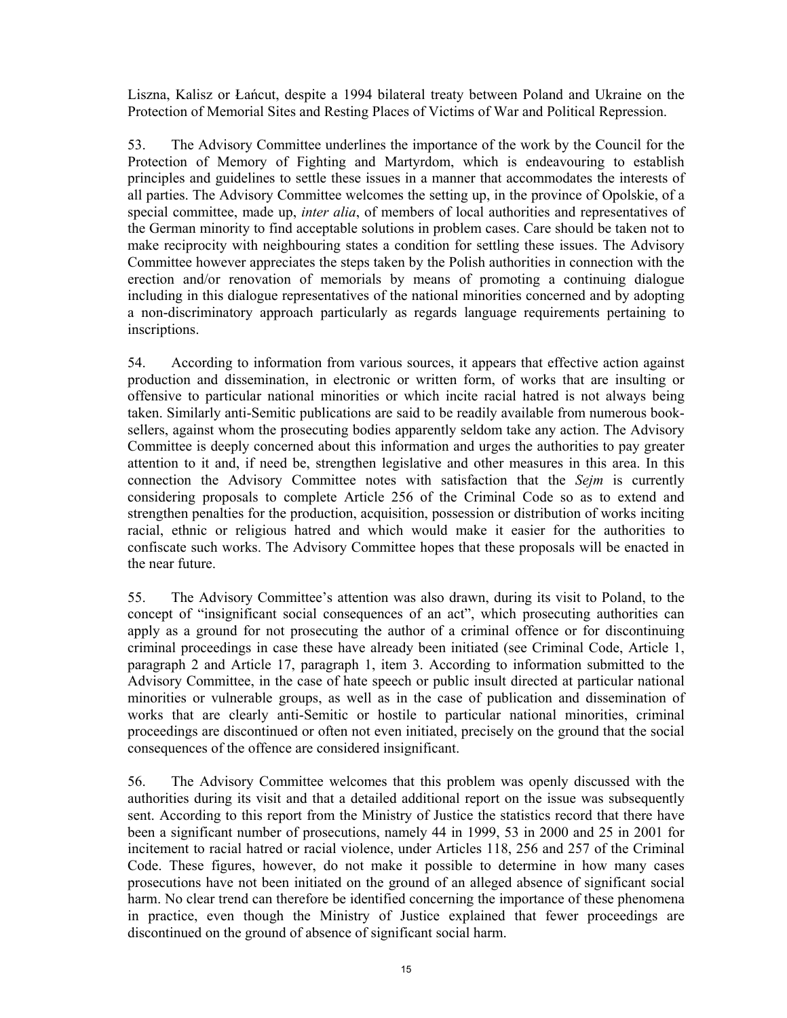Liszna, Kalisz or Łańcut, despite a 1994 bilateral treaty between Poland and Ukraine on the Protection of Memorial Sites and Resting Places of Victims of War and Political Repression.

53. The Advisory Committee underlines the importance of the work by the Council for the Protection of Memory of Fighting and Martyrdom, which is endeavouring to establish principles and guidelines to settle these issues in a manner that accommodates the interests of all parties. The Advisory Committee welcomes the setting up, in the province of Opolskie, of a special committee, made up, *inter alia*, of members of local authorities and representatives of the German minority to find acceptable solutions in problem cases. Care should be taken not to make reciprocity with neighbouring states a condition for settling these issues. The Advisory Committee however appreciates the steps taken by the Polish authorities in connection with the erection and/or renovation of memorials by means of promoting a continuing dialogue including in this dialogue representatives of the national minorities concerned and by adopting a non-discriminatory approach particularly as regards language requirements pertaining to inscriptions.

54. According to information from various sources, it appears that effective action against production and dissemination, in electronic or written form, of works that are insulting or offensive to particular national minorities or which incite racial hatred is not always being taken. Similarly anti-Semitic publications are said to be readily available from numerous booksellers, against whom the prosecuting bodies apparently seldom take any action. The Advisory Committee is deeply concerned about this information and urges the authorities to pay greater attention to it and, if need be, strengthen legislative and other measures in this area. In this connection the Advisory Committee notes with satisfaction that the *Sejm* is currently considering proposals to complete Article 256 of the Criminal Code so as to extend and strengthen penalties for the production, acquisition, possession or distribution of works inciting racial, ethnic or religious hatred and which would make it easier for the authorities to confiscate such works. The Advisory Committee hopes that these proposals will be enacted in the near future.

55. The Advisory Committee's attention was also drawn, during its visit to Poland, to the concept of "insignificant social consequences of an act", which prosecuting authorities can apply as a ground for not prosecuting the author of a criminal offence or for discontinuing criminal proceedings in case these have already been initiated (see Criminal Code, Article 1, paragraph 2 and Article 17, paragraph 1, item 3. According to information submitted to the Advisory Committee, in the case of hate speech or public insult directed at particular national minorities or vulnerable groups, as well as in the case of publication and dissemination of works that are clearly anti-Semitic or hostile to particular national minorities, criminal proceedings are discontinued or often not even initiated, precisely on the ground that the social consequences of the offence are considered insignificant.

56. The Advisory Committee welcomes that this problem was openly discussed with the authorities during its visit and that a detailed additional report on the issue was subsequently sent. According to this report from the Ministry of Justice the statistics record that there have been a significant number of prosecutions, namely 44 in 1999, 53 in 2000 and 25 in 2001 for incitement to racial hatred or racial violence, under Articles 118, 256 and 257 of the Criminal Code. These figures, however, do not make it possible to determine in how many cases prosecutions have not been initiated on the ground of an alleged absence of significant social harm. No clear trend can therefore be identified concerning the importance of these phenomena in practice, even though the Ministry of Justice explained that fewer proceedings are discontinued on the ground of absence of significant social harm.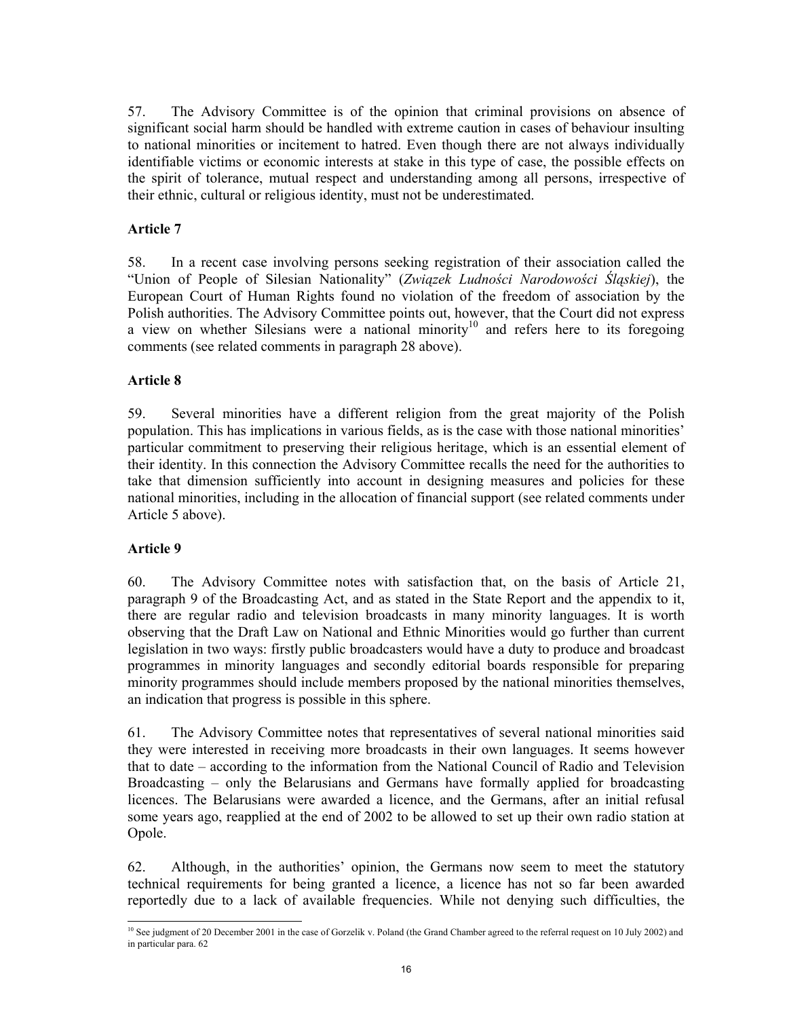57. The Advisory Committee is of the opinion that criminal provisions on absence of significant social harm should be handled with extreme caution in cases of behaviour insulting to national minorities or incitement to hatred. Even though there are not always individually identifiable victims or economic interests at stake in this type of case, the possible effects on the spirit of tolerance, mutual respect and understanding among all persons, irrespective of their ethnic, cultural or religious identity, must not be underestimated.

## **Article 7**

58. In a recent case involving persons seeking registration of their association called the "Union of People of Silesian Nationality" (*Związek Ludności Narodowości Śląskiej*), the European Court of Human Rights found no violation of the freedom of association by the Polish authorities. The Advisory Committee points out, however, that the Court did not express a view on whether Silesians were a national minority<sup>10</sup> and refers here to its foregoing comments (see related comments in paragraph 28 above).

## **Article 8**

59. Several minorities have a different religion from the great majority of the Polish population. This has implications in various fields, as is the case with those national minorities' particular commitment to preserving their religious heritage, which is an essential element of their identity. In this connection the Advisory Committee recalls the need for the authorities to take that dimension sufficiently into account in designing measures and policies for these national minorities, including in the allocation of financial support (see related comments under Article 5 above).

## **Article 9**

-

60. The Advisory Committee notes with satisfaction that, on the basis of Article 21, paragraph 9 of the Broadcasting Act, and as stated in the State Report and the appendix to it, there are regular radio and television broadcasts in many minority languages. It is worth observing that the Draft Law on National and Ethnic Minorities would go further than current legislation in two ways: firstly public broadcasters would have a duty to produce and broadcast programmes in minority languages and secondly editorial boards responsible for preparing minority programmes should include members proposed by the national minorities themselves, an indication that progress is possible in this sphere.

61. The Advisory Committee notes that representatives of several national minorities said they were interested in receiving more broadcasts in their own languages. It seems however that to date – according to the information from the National Council of Radio and Television Broadcasting – only the Belarusians and Germans have formally applied for broadcasting licences. The Belarusians were awarded a licence, and the Germans, after an initial refusal some years ago, reapplied at the end of 2002 to be allowed to set up their own radio station at Opole.

62. Although, in the authorities' opinion, the Germans now seem to meet the statutory technical requirements for being granted a licence, a licence has not so far been awarded reportedly due to a lack of available frequencies. While not denying such difficulties, the

<sup>&</sup>lt;sup>10</sup> See judgment of 20 December 2001 in the case of Gorzelik v. Poland (the Grand Chamber agreed to the referral request on 10 July 2002) and in particular para. 62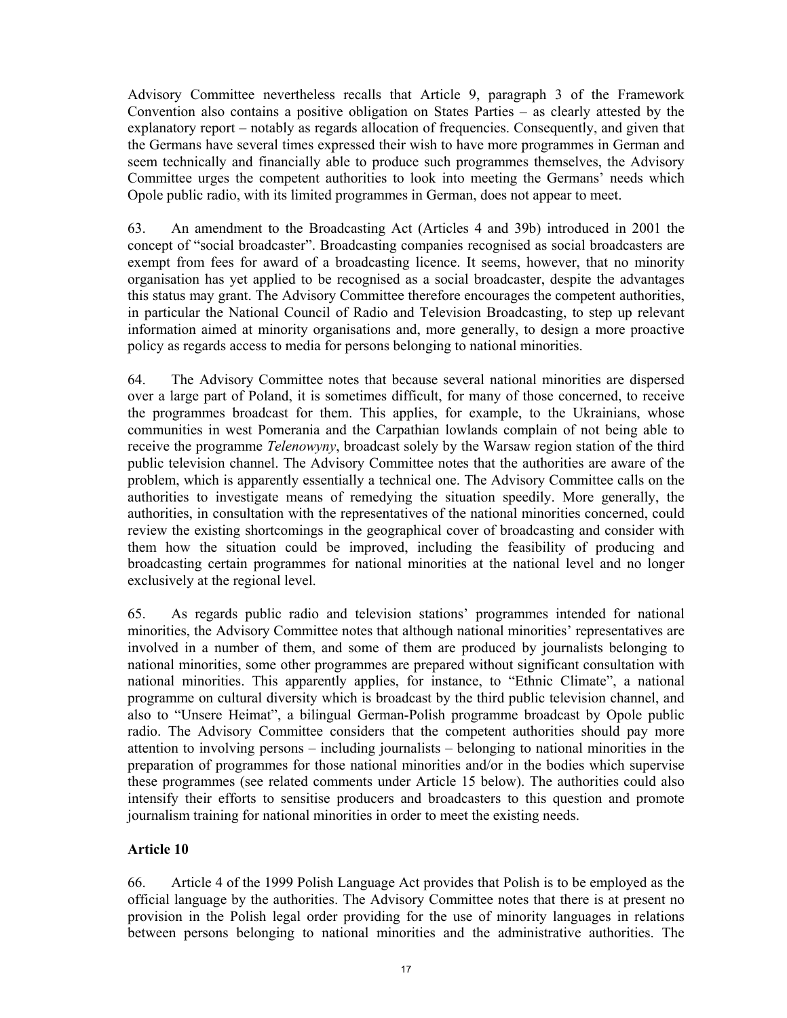Advisory Committee nevertheless recalls that Article 9, paragraph 3 of the Framework Convention also contains a positive obligation on States Parties – as clearly attested by the explanatory report – notably as regards allocation of frequencies. Consequently, and given that the Germans have several times expressed their wish to have more programmes in German and seem technically and financially able to produce such programmes themselves, the Advisory Committee urges the competent authorities to look into meeting the Germans' needs which Opole public radio, with its limited programmes in German, does not appear to meet.

63. An amendment to the Broadcasting Act (Articles 4 and 39b) introduced in 2001 the concept of "social broadcaster". Broadcasting companies recognised as social broadcasters are exempt from fees for award of a broadcasting licence. It seems, however, that no minority organisation has yet applied to be recognised as a social broadcaster, despite the advantages this status may grant. The Advisory Committee therefore encourages the competent authorities, in particular the National Council of Radio and Television Broadcasting, to step up relevant information aimed at minority organisations and, more generally, to design a more proactive policy as regards access to media for persons belonging to national minorities.

64. The Advisory Committee notes that because several national minorities are dispersed over a large part of Poland, it is sometimes difficult, for many of those concerned, to receive the programmes broadcast for them. This applies, for example, to the Ukrainians, whose communities in west Pomerania and the Carpathian lowlands complain of not being able to receive the programme *Telenowyny*, broadcast solely by the Warsaw region station of the third public television channel. The Advisory Committee notes that the authorities are aware of the problem, which is apparently essentially a technical one. The Advisory Committee calls on the authorities to investigate means of remedying the situation speedily. More generally, the authorities, in consultation with the representatives of the national minorities concerned, could review the existing shortcomings in the geographical cover of broadcasting and consider with them how the situation could be improved, including the feasibility of producing and broadcasting certain programmes for national minorities at the national level and no longer exclusively at the regional level.

65. As regards public radio and television stations' programmes intended for national minorities, the Advisory Committee notes that although national minorities' representatives are involved in a number of them, and some of them are produced by journalists belonging to national minorities, some other programmes are prepared without significant consultation with national minorities. This apparently applies, for instance, to "Ethnic Climate", a national programme on cultural diversity which is broadcast by the third public television channel, and also to "Unsere Heimat", a bilingual German-Polish programme broadcast by Opole public radio. The Advisory Committee considers that the competent authorities should pay more attention to involving persons – including journalists – belonging to national minorities in the preparation of programmes for those national minorities and/or in the bodies which supervise these programmes (see related comments under Article 15 below). The authorities could also intensify their efforts to sensitise producers and broadcasters to this question and promote journalism training for national minorities in order to meet the existing needs.

## **Article 10**

66. Article 4 of the 1999 Polish Language Act provides that Polish is to be employed as the official language by the authorities. The Advisory Committee notes that there is at present no provision in the Polish legal order providing for the use of minority languages in relations between persons belonging to national minorities and the administrative authorities. The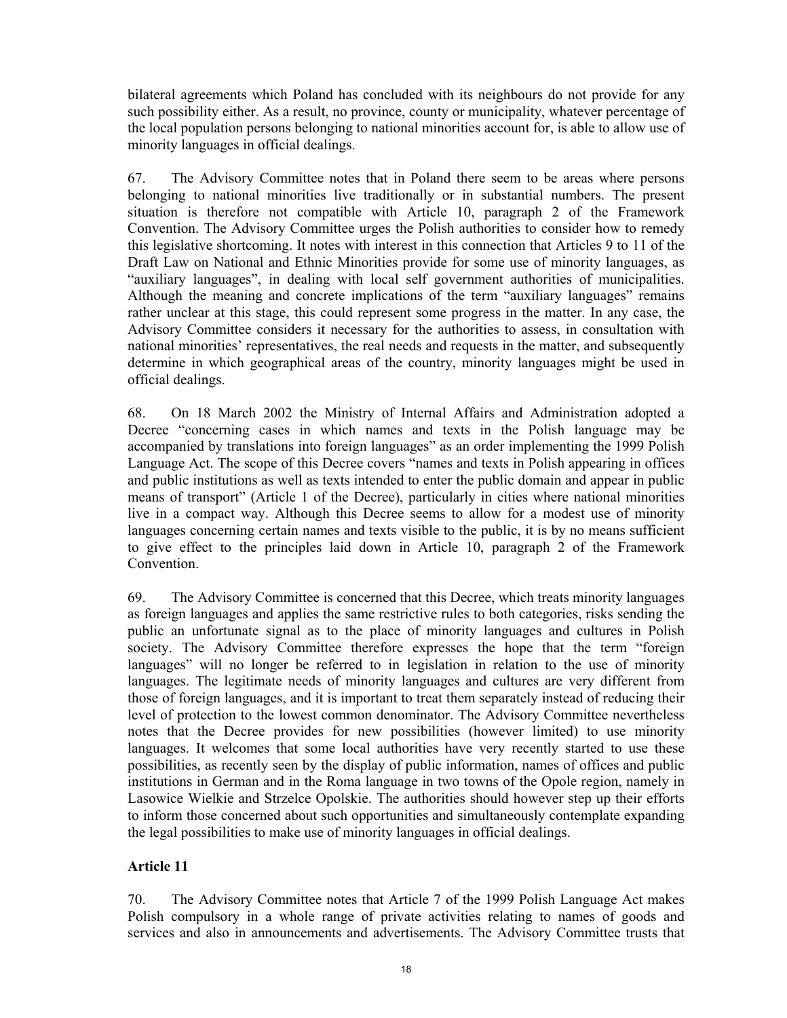bilateral agreements which Poland has concluded with its neighbours do not provide for any such possibility either. As a result, no province, county or municipality, whatever percentage of the local population persons belonging to national minorities account for, is able to allow use of minority languages in official dealings.

67. The Advisory Committee notes that in Poland there seem to be areas where persons belonging to national minorities live traditionally or in substantial numbers. The present situation is therefore not compatible with Article 10, paragraph 2 of the Framework Convention. The Advisory Committee urges the Polish authorities to consider how to remedy this legislative shortcoming. It notes with interest in this connection that Articles 9 to 11 of the Draft Law on National and Ethnic Minorities provide for some use of minority languages, as "auxiliary languages", in dealing with local self government authorities of municipalities. Although the meaning and concrete implications of the term "auxiliary languages" remains rather unclear at this stage, this could represent some progress in the matter. In any case, the Advisory Committee considers it necessary for the authorities to assess, in consultation with national minorities' representatives, the real needs and requests in the matter, and subsequently determine in which geographical areas of the country, minority languages might be used in official dealings.

68. On 18 March 2002 the Ministry of Internal Affairs and Administration adopted a Decree "concerning cases in which names and texts in the Polish language may be accompanied by translations into foreign languages" as an order implementing the 1999 Polish Language Act. The scope of this Decree covers "names and texts in Polish appearing in offices and public institutions as well as texts intended to enter the public domain and appear in public means of transport" (Article 1 of the Decree), particularly in cities where national minorities live in a compact way. Although this Decree seems to allow for a modest use of minority languages concerning certain names and texts visible to the public, it is by no means sufficient to give effect to the principles laid down in Article 10, paragraph 2 of the Framework **Convention** 

69. The Advisory Committee is concerned that this Decree, which treats minority languages as foreign languages and applies the same restrictive rules to both categories, risks sending the public an unfortunate signal as to the place of minority languages and cultures in Polish society. The Advisory Committee therefore expresses the hope that the term "foreign languages" will no longer be referred to in legislation in relation to the use of minority languages. The legitimate needs of minority languages and cultures are very different from those of foreign languages, and it is important to treat them separately instead of reducing their level of protection to the lowest common denominator. The Advisory Committee nevertheless notes that the Decree provides for new possibilities (however limited) to use minority languages. It welcomes that some local authorities have very recently started to use these possibilities, as recently seen by the display of public information, names of offices and public institutions in German and in the Roma language in two towns of the Opole region, namely in Lasowice Wielkie and Strzelce Opolskie. The authorities should however step up their efforts to inform those concerned about such opportunities and simultaneously contemplate expanding the legal possibilities to make use of minority languages in official dealings.

## **Article 11**

70. The Advisory Committee notes that Article 7 of the 1999 Polish Language Act makes Polish compulsory in a whole range of private activities relating to names of goods and services and also in announcements and advertisements. The Advisory Committee trusts that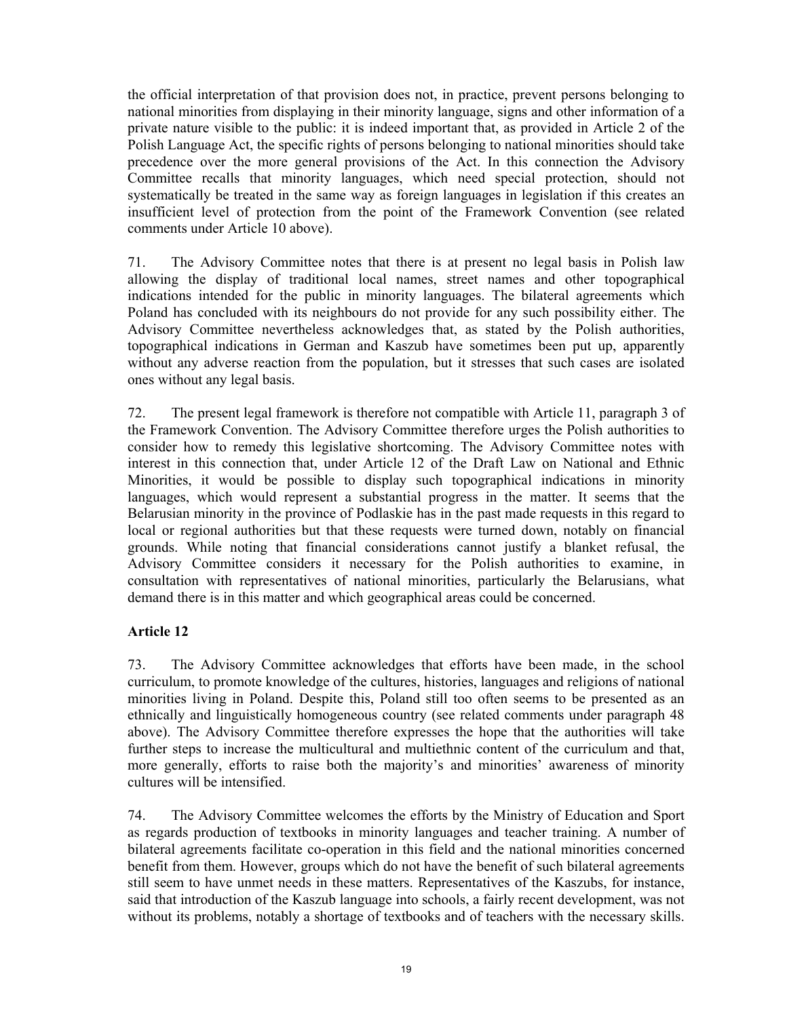the official interpretation of that provision does not, in practice, prevent persons belonging to national minorities from displaying in their minority language, signs and other information of a private nature visible to the public: it is indeed important that, as provided in Article 2 of the Polish Language Act, the specific rights of persons belonging to national minorities should take precedence over the more general provisions of the Act. In this connection the Advisory Committee recalls that minority languages, which need special protection, should not systematically be treated in the same way as foreign languages in legislation if this creates an insufficient level of protection from the point of the Framework Convention (see related comments under Article 10 above).

71. The Advisory Committee notes that there is at present no legal basis in Polish law allowing the display of traditional local names, street names and other topographical indications intended for the public in minority languages. The bilateral agreements which Poland has concluded with its neighbours do not provide for any such possibility either. The Advisory Committee nevertheless acknowledges that, as stated by the Polish authorities, topographical indications in German and Kaszub have sometimes been put up, apparently without any adverse reaction from the population, but it stresses that such cases are isolated ones without any legal basis.

72. The present legal framework is therefore not compatible with Article 11, paragraph 3 of the Framework Convention. The Advisory Committee therefore urges the Polish authorities to consider how to remedy this legislative shortcoming. The Advisory Committee notes with interest in this connection that, under Article 12 of the Draft Law on National and Ethnic Minorities, it would be possible to display such topographical indications in minority languages, which would represent a substantial progress in the matter. It seems that the Belarusian minority in the province of Podlaskie has in the past made requests in this regard to local or regional authorities but that these requests were turned down, notably on financial grounds. While noting that financial considerations cannot justify a blanket refusal, the Advisory Committee considers it necessary for the Polish authorities to examine, in consultation with representatives of national minorities, particularly the Belarusians, what demand there is in this matter and which geographical areas could be concerned.

## **Article 12**

73. The Advisory Committee acknowledges that efforts have been made, in the school curriculum, to promote knowledge of the cultures, histories, languages and religions of national minorities living in Poland. Despite this, Poland still too often seems to be presented as an ethnically and linguistically homogeneous country (see related comments under paragraph 48 above). The Advisory Committee therefore expresses the hope that the authorities will take further steps to increase the multicultural and multiethnic content of the curriculum and that, more generally, efforts to raise both the majority's and minorities' awareness of minority cultures will be intensified.

74. The Advisory Committee welcomes the efforts by the Ministry of Education and Sport as regards production of textbooks in minority languages and teacher training. A number of bilateral agreements facilitate co-operation in this field and the national minorities concerned benefit from them. However, groups which do not have the benefit of such bilateral agreements still seem to have unmet needs in these matters. Representatives of the Kaszubs, for instance, said that introduction of the Kaszub language into schools, a fairly recent development, was not without its problems, notably a shortage of textbooks and of teachers with the necessary skills.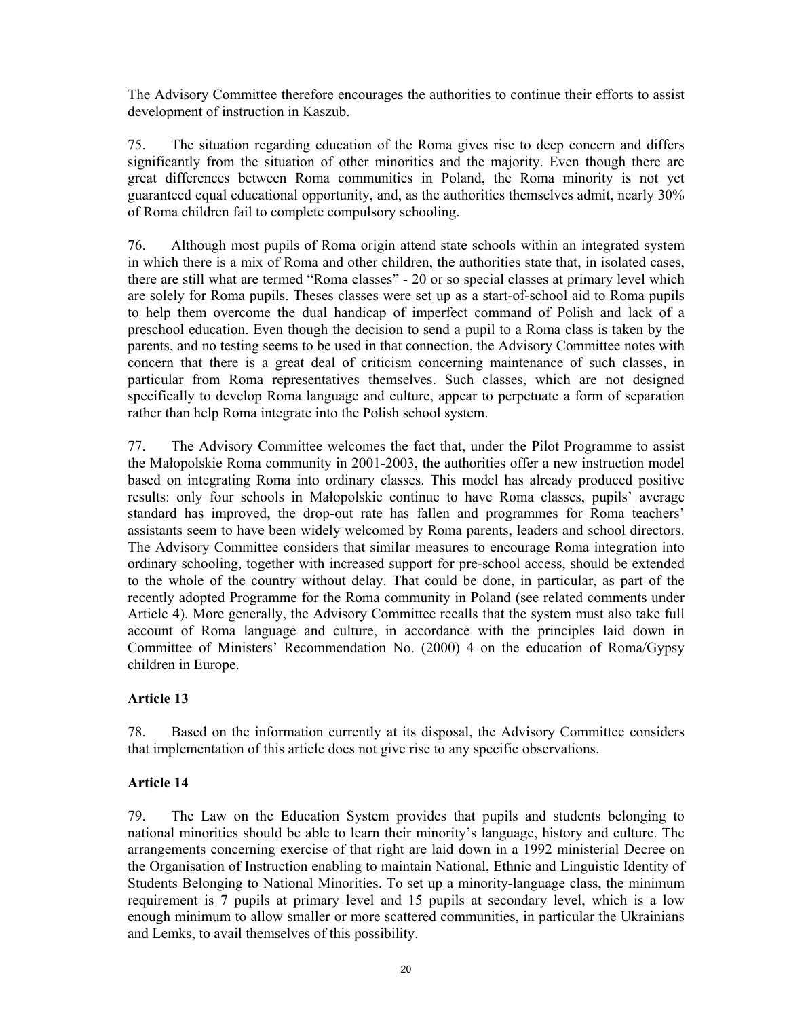The Advisory Committee therefore encourages the authorities to continue their efforts to assist development of instruction in Kaszub.

75. The situation regarding education of the Roma gives rise to deep concern and differs significantly from the situation of other minorities and the majority. Even though there are great differences between Roma communities in Poland, the Roma minority is not yet guaranteed equal educational opportunity, and, as the authorities themselves admit, nearly 30% of Roma children fail to complete compulsory schooling.

76. Although most pupils of Roma origin attend state schools within an integrated system in which there is a mix of Roma and other children, the authorities state that, in isolated cases, there are still what are termed "Roma classes" - 20 or so special classes at primary level which are solely for Roma pupils. Theses classes were set up as a start-of-school aid to Roma pupils to help them overcome the dual handicap of imperfect command of Polish and lack of a preschool education. Even though the decision to send a pupil to a Roma class is taken by the parents, and no testing seems to be used in that connection, the Advisory Committee notes with concern that there is a great deal of criticism concerning maintenance of such classes, in particular from Roma representatives themselves. Such classes, which are not designed specifically to develop Roma language and culture, appear to perpetuate a form of separation rather than help Roma integrate into the Polish school system.

77. The Advisory Committee welcomes the fact that, under the Pilot Programme to assist the Małopolskie Roma community in 2001-2003, the authorities offer a new instruction model based on integrating Roma into ordinary classes. This model has already produced positive results: only four schools in Małopolskie continue to have Roma classes, pupils' average standard has improved, the drop-out rate has fallen and programmes for Roma teachers' assistants seem to have been widely welcomed by Roma parents, leaders and school directors. The Advisory Committee considers that similar measures to encourage Roma integration into ordinary schooling, together with increased support for pre-school access, should be extended to the whole of the country without delay. That could be done, in particular, as part of the recently adopted Programme for the Roma community in Poland (see related comments under Article 4). More generally, the Advisory Committee recalls that the system must also take full account of Roma language and culture, in accordance with the principles laid down in Committee of Ministers' Recommendation No. (2000) 4 on the education of Roma/Gypsy children in Europe.

## **Article 13**

78. Based on the information currently at its disposal, the Advisory Committee considers that implementation of this article does not give rise to any specific observations.

## **Article 14**

79. The Law on the Education System provides that pupils and students belonging to national minorities should be able to learn their minority's language, history and culture. The arrangements concerning exercise of that right are laid down in a 1992 ministerial Decree on the Organisation of Instruction enabling to maintain National, Ethnic and Linguistic Identity of Students Belonging to National Minorities. To set up a minority-language class, the minimum requirement is 7 pupils at primary level and 15 pupils at secondary level, which is a low enough minimum to allow smaller or more scattered communities, in particular the Ukrainians and Lemks, to avail themselves of this possibility.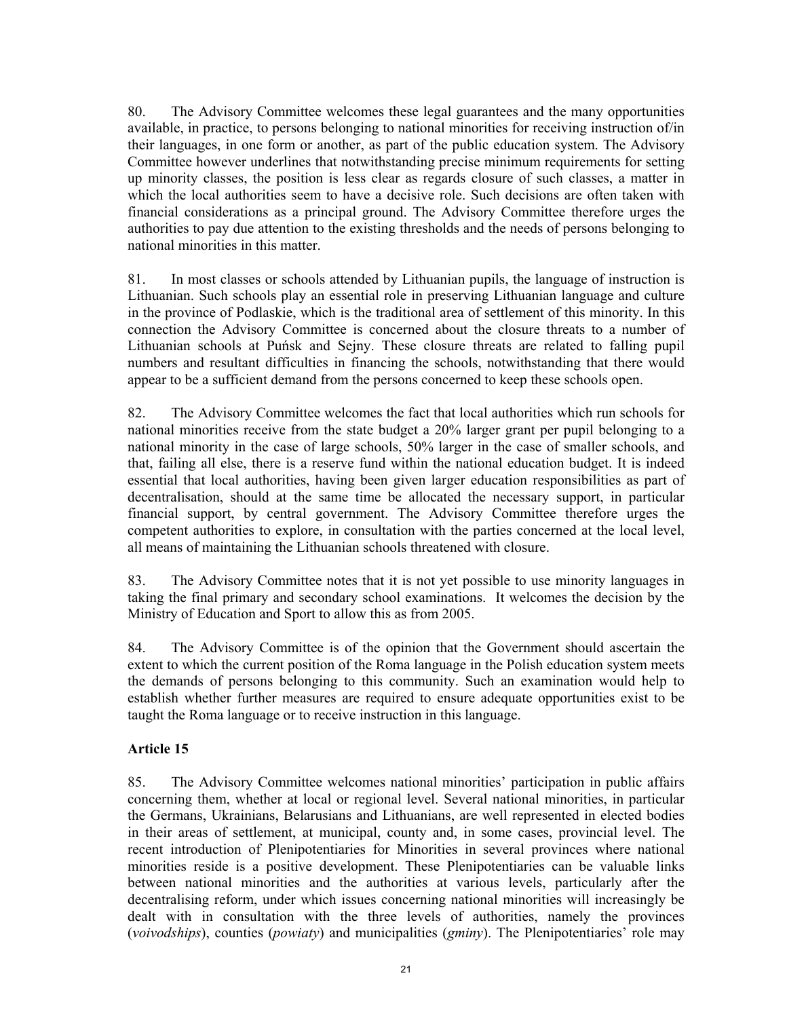80. The Advisory Committee welcomes these legal guarantees and the many opportunities available, in practice, to persons belonging to national minorities for receiving instruction of/in their languages, in one form or another, as part of the public education system. The Advisory Committee however underlines that notwithstanding precise minimum requirements for setting up minority classes, the position is less clear as regards closure of such classes, a matter in which the local authorities seem to have a decisive role. Such decisions are often taken with financial considerations as a principal ground. The Advisory Committee therefore urges the authorities to pay due attention to the existing thresholds and the needs of persons belonging to national minorities in this matter.

81. In most classes or schools attended by Lithuanian pupils, the language of instruction is Lithuanian. Such schools play an essential role in preserving Lithuanian language and culture in the province of Podlaskie, which is the traditional area of settlement of this minority. In this connection the Advisory Committee is concerned about the closure threats to a number of Lithuanian schools at Puńsk and Sejny. These closure threats are related to falling pupil numbers and resultant difficulties in financing the schools, notwithstanding that there would appear to be a sufficient demand from the persons concerned to keep these schools open.

82. The Advisory Committee welcomes the fact that local authorities which run schools for national minorities receive from the state budget a 20% larger grant per pupil belonging to a national minority in the case of large schools, 50% larger in the case of smaller schools, and that, failing all else, there is a reserve fund within the national education budget. It is indeed essential that local authorities, having been given larger education responsibilities as part of decentralisation, should at the same time be allocated the necessary support, in particular financial support, by central government. The Advisory Committee therefore urges the competent authorities to explore, in consultation with the parties concerned at the local level, all means of maintaining the Lithuanian schools threatened with closure.

83. The Advisory Committee notes that it is not yet possible to use minority languages in taking the final primary and secondary school examinations. It welcomes the decision by the Ministry of Education and Sport to allow this as from 2005.

84. The Advisory Committee is of the opinion that the Government should ascertain the extent to which the current position of the Roma language in the Polish education system meets the demands of persons belonging to this community. Such an examination would help to establish whether further measures are required to ensure adequate opportunities exist to be taught the Roma language or to receive instruction in this language.

## **Article 15**

85. The Advisory Committee welcomes national minorities' participation in public affairs concerning them, whether at local or regional level. Several national minorities, in particular the Germans, Ukrainians, Belarusians and Lithuanians, are well represented in elected bodies in their areas of settlement, at municipal, county and, in some cases, provincial level. The recent introduction of Plenipotentiaries for Minorities in several provinces where national minorities reside is a positive development. These Plenipotentiaries can be valuable links between national minorities and the authorities at various levels, particularly after the decentralising reform, under which issues concerning national minorities will increasingly be dealt with in consultation with the three levels of authorities, namely the provinces (*voivodships*), counties (*powiaty*) and municipalities (*gminy*). The Plenipotentiaries' role may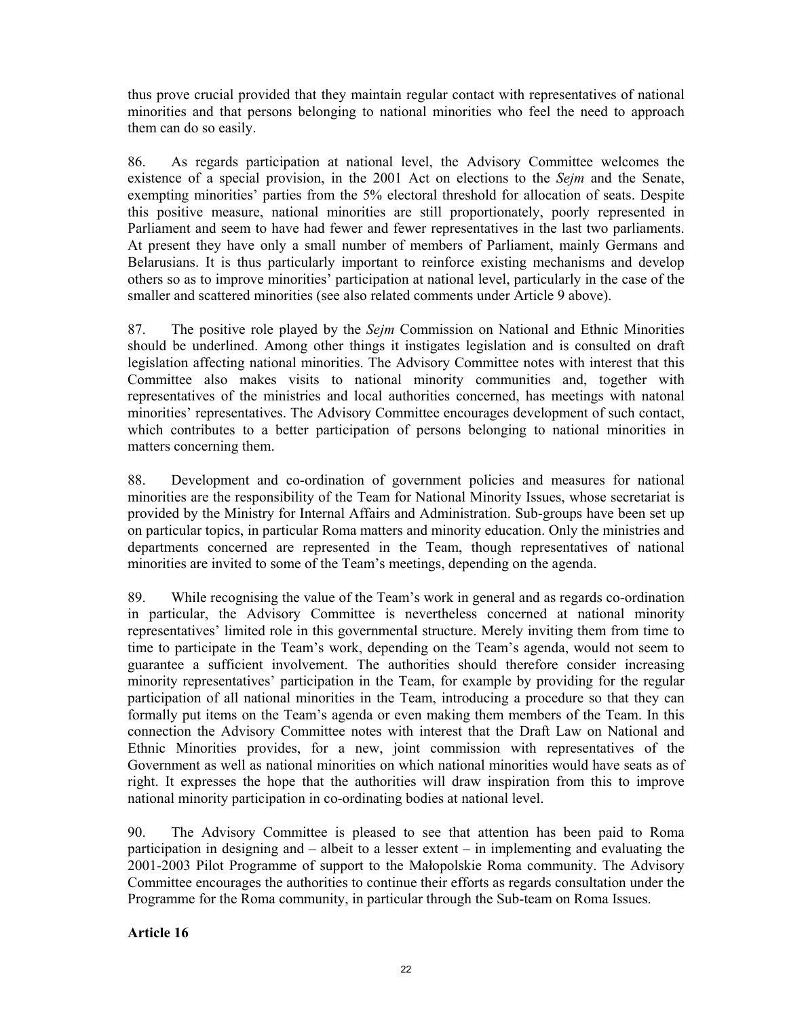thus prove crucial provided that they maintain regular contact with representatives of national minorities and that persons belonging to national minorities who feel the need to approach them can do so easily.

86. As regards participation at national level, the Advisory Committee welcomes the existence of a special provision, in the 2001 Act on elections to the *Sejm* and the Senate, exempting minorities' parties from the 5% electoral threshold for allocation of seats. Despite this positive measure, national minorities are still proportionately, poorly represented in Parliament and seem to have had fewer and fewer representatives in the last two parliaments. At present they have only a small number of members of Parliament, mainly Germans and Belarusians. It is thus particularly important to reinforce existing mechanisms and develop others so as to improve minorities' participation at national level, particularly in the case of the smaller and scattered minorities (see also related comments under Article 9 above).

87. The positive role played by the *Sejm* Commission on National and Ethnic Minorities should be underlined. Among other things it instigates legislation and is consulted on draft legislation affecting national minorities. The Advisory Committee notes with interest that this Committee also makes visits to national minority communities and, together with representatives of the ministries and local authorities concerned, has meetings with natonal minorities' representatives. The Advisory Committee encourages development of such contact, which contributes to a better participation of persons belonging to national minorities in matters concerning them.

88. Development and co-ordination of government policies and measures for national minorities are the responsibility of the Team for National Minority Issues, whose secretariat is provided by the Ministry for Internal Affairs and Administration. Sub-groups have been set up on particular topics, in particular Roma matters and minority education. Only the ministries and departments concerned are represented in the Team, though representatives of national minorities are invited to some of the Team's meetings, depending on the agenda.

89. While recognising the value of the Team's work in general and as regards co-ordination in particular, the Advisory Committee is nevertheless concerned at national minority representatives' limited role in this governmental structure. Merely inviting them from time to time to participate in the Team's work, depending on the Team's agenda, would not seem to guarantee a sufficient involvement. The authorities should therefore consider increasing minority representatives' participation in the Team, for example by providing for the regular participation of all national minorities in the Team, introducing a procedure so that they can formally put items on the Team's agenda or even making them members of the Team. In this connection the Advisory Committee notes with interest that the Draft Law on National and Ethnic Minorities provides, for a new, joint commission with representatives of the Government as well as national minorities on which national minorities would have seats as of right. It expresses the hope that the authorities will draw inspiration from this to improve national minority participation in co-ordinating bodies at national level.

90. The Advisory Committee is pleased to see that attention has been paid to Roma participation in designing and – albeit to a lesser extent – in implementing and evaluating the 2001-2003 Pilot Programme of support to the Małopolskie Roma community. The Advisory Committee encourages the authorities to continue their efforts as regards consultation under the Programme for the Roma community, in particular through the Sub-team on Roma Issues.

### **Article 16**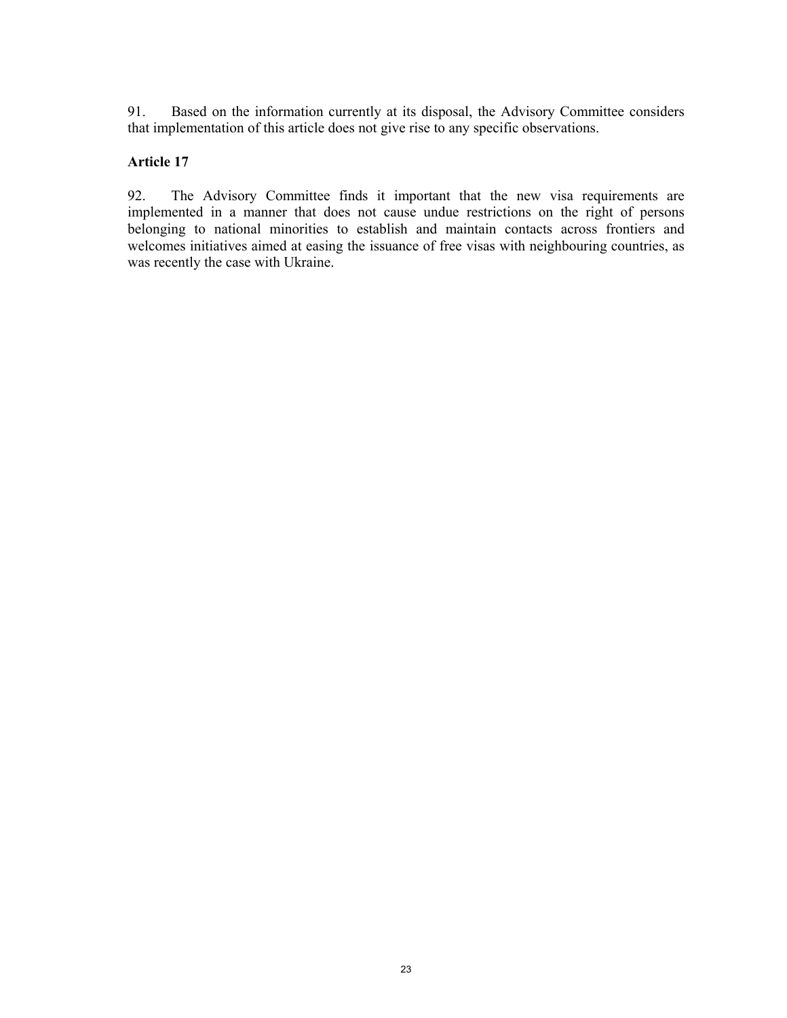91. Based on the information currently at its disposal, the Advisory Committee considers that implementation of this article does not give rise to any specific observations.

## **Article 17**

92. The Advisory Committee finds it important that the new visa requirements are implemented in a manner that does not cause undue restrictions on the right of persons belonging to national minorities to establish and maintain contacts across frontiers and welcomes initiatives aimed at easing the issuance of free visas with neighbouring countries, as was recently the case with Ukraine.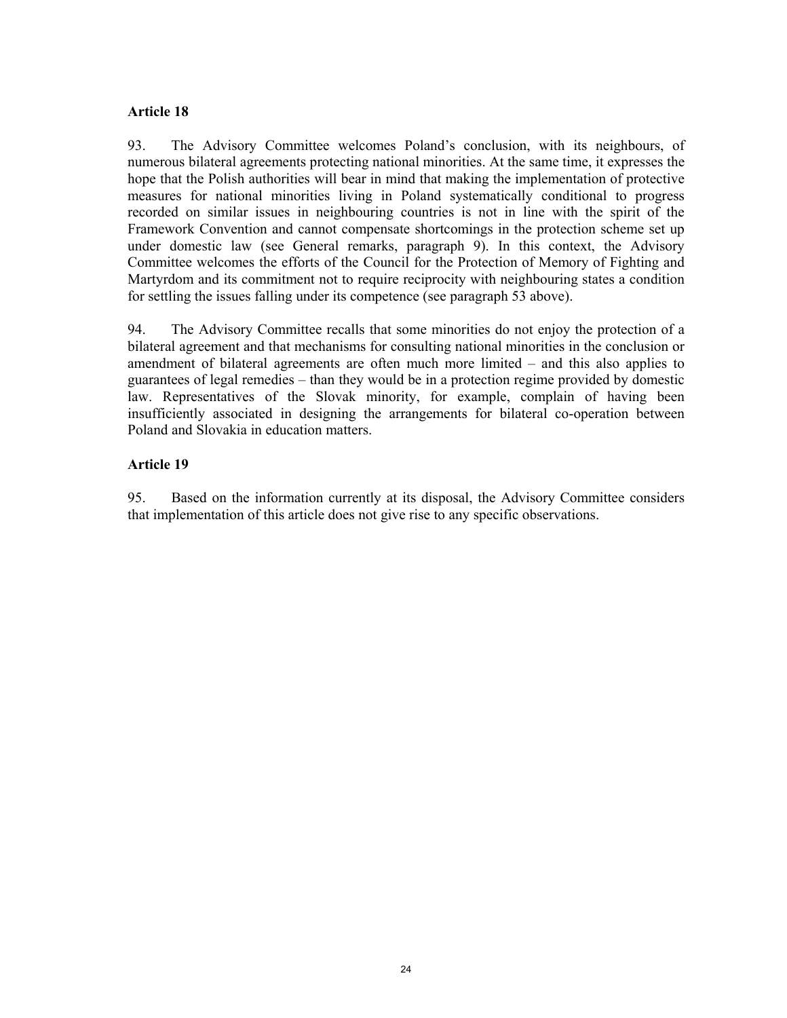#### **Article 18**

93. The Advisory Committee welcomes Poland's conclusion, with its neighbours, of numerous bilateral agreements protecting national minorities. At the same time, it expresses the hope that the Polish authorities will bear in mind that making the implementation of protective measures for national minorities living in Poland systematically conditional to progress recorded on similar issues in neighbouring countries is not in line with the spirit of the Framework Convention and cannot compensate shortcomings in the protection scheme set up under domestic law (see General remarks, paragraph 9). In this context, the Advisory Committee welcomes the efforts of the Council for the Protection of Memory of Fighting and Martyrdom and its commitment not to require reciprocity with neighbouring states a condition for settling the issues falling under its competence (see paragraph 53 above).

94. The Advisory Committee recalls that some minorities do not enjoy the protection of a bilateral agreement and that mechanisms for consulting national minorities in the conclusion or amendment of bilateral agreements are often much more limited – and this also applies to guarantees of legal remedies – than they would be in a protection regime provided by domestic law. Representatives of the Slovak minority, for example, complain of having been insufficiently associated in designing the arrangements for bilateral co-operation between Poland and Slovakia in education matters.

### **Article 19**

95. Based on the information currently at its disposal, the Advisory Committee considers that implementation of this article does not give rise to any specific observations.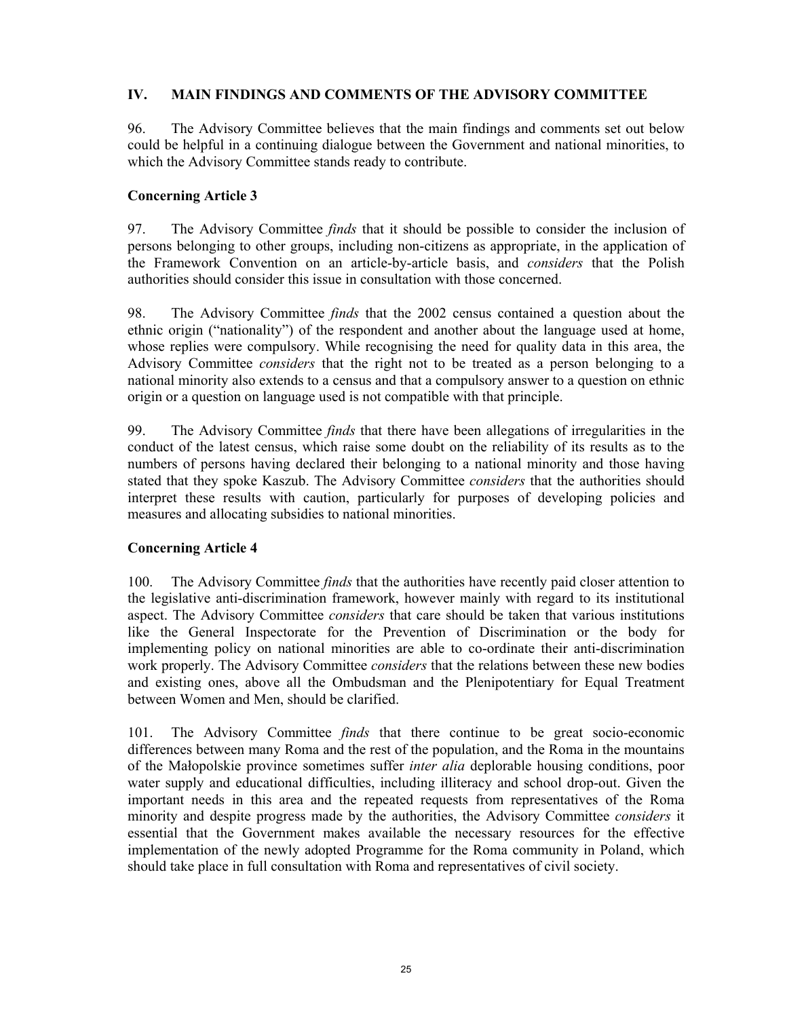### **IV. MAIN FINDINGS AND COMMENTS OF THE ADVISORY COMMITTEE**

96. The Advisory Committee believes that the main findings and comments set out below could be helpful in a continuing dialogue between the Government and national minorities, to which the Advisory Committee stands ready to contribute.

#### **Concerning Article 3**

97. The Advisory Committee *finds* that it should be possible to consider the inclusion of persons belonging to other groups, including non-citizens as appropriate, in the application of the Framework Convention on an article-by-article basis, and *considers* that the Polish authorities should consider this issue in consultation with those concerned.

98. The Advisory Committee *finds* that the 2002 census contained a question about the ethnic origin ("nationality") of the respondent and another about the language used at home, whose replies were compulsory. While recognising the need for quality data in this area, the Advisory Committee *considers* that the right not to be treated as a person belonging to a national minority also extends to a census and that a compulsory answer to a question on ethnic origin or a question on language used is not compatible with that principle.

99. The Advisory Committee *finds* that there have been allegations of irregularities in the conduct of the latest census, which raise some doubt on the reliability of its results as to the numbers of persons having declared their belonging to a national minority and those having stated that they spoke Kaszub. The Advisory Committee *considers* that the authorities should interpret these results with caution, particularly for purposes of developing policies and measures and allocating subsidies to national minorities.

## **Concerning Article 4**

100. The Advisory Committee *finds* that the authorities have recently paid closer attention to the legislative anti-discrimination framework, however mainly with regard to its institutional aspect. The Advisory Committee *considers* that care should be taken that various institutions like the General Inspectorate for the Prevention of Discrimination or the body for implementing policy on national minorities are able to co-ordinate their anti-discrimination work properly. The Advisory Committee *considers* that the relations between these new bodies and existing ones, above all the Ombudsman and the Plenipotentiary for Equal Treatment between Women and Men, should be clarified.

101. The Advisory Committee *finds* that there continue to be great socio-economic differences between many Roma and the rest of the population, and the Roma in the mountains of the Małopolskie province sometimes suffer *inter alia* deplorable housing conditions, poor water supply and educational difficulties, including illiteracy and school drop-out. Given the important needs in this area and the repeated requests from representatives of the Roma minority and despite progress made by the authorities, the Advisory Committee *considers* it essential that the Government makes available the necessary resources for the effective implementation of the newly adopted Programme for the Roma community in Poland, which should take place in full consultation with Roma and representatives of civil society.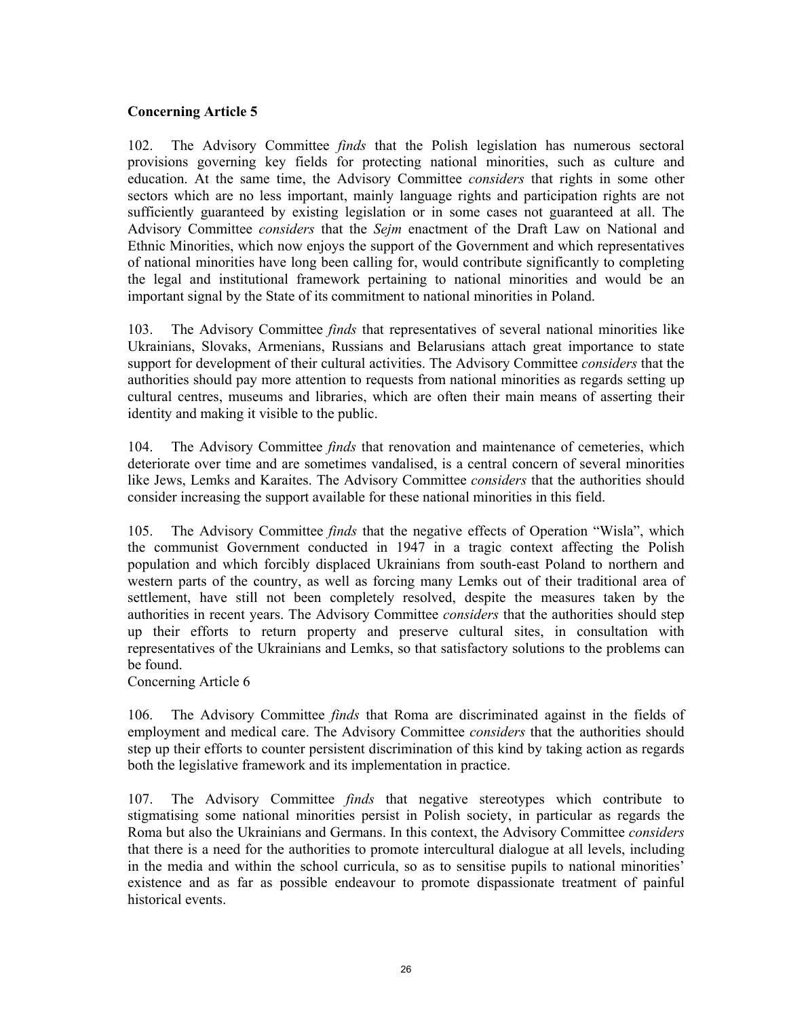#### **Concerning Article 5**

102. The Advisory Committee *finds* that the Polish legislation has numerous sectoral provisions governing key fields for protecting national minorities, such as culture and education. At the same time, the Advisory Committee *considers* that rights in some other sectors which are no less important, mainly language rights and participation rights are not sufficiently guaranteed by existing legislation or in some cases not guaranteed at all. The Advisory Committee *considers* that the *Sejm* enactment of the Draft Law on National and Ethnic Minorities, which now enjoys the support of the Government and which representatives of national minorities have long been calling for, would contribute significantly to completing the legal and institutional framework pertaining to national minorities and would be an important signal by the State of its commitment to national minorities in Poland.

103. The Advisory Committee *finds* that representatives of several national minorities like Ukrainians, Slovaks, Armenians, Russians and Belarusians attach great importance to state support for development of their cultural activities. The Advisory Committee *considers* that the authorities should pay more attention to requests from national minorities as regards setting up cultural centres, museums and libraries, which are often their main means of asserting their identity and making it visible to the public.

104. The Advisory Committee *finds* that renovation and maintenance of cemeteries, which deteriorate over time and are sometimes vandalised, is a central concern of several minorities like Jews, Lemks and Karaites. The Advisory Committee *considers* that the authorities should consider increasing the support available for these national minorities in this field.

105. The Advisory Committee *finds* that the negative effects of Operation "Wisla", which the communist Government conducted in 1947 in a tragic context affecting the Polish population and which forcibly displaced Ukrainians from south-east Poland to northern and western parts of the country, as well as forcing many Lemks out of their traditional area of settlement, have still not been completely resolved, despite the measures taken by the authorities in recent years. The Advisory Committee *considers* that the authorities should step up their efforts to return property and preserve cultural sites, in consultation with representatives of the Ukrainians and Lemks, so that satisfactory solutions to the problems can be found.

Concerning Article 6

106. The Advisory Committee *finds* that Roma are discriminated against in the fields of employment and medical care. The Advisory Committee *considers* that the authorities should step up their efforts to counter persistent discrimination of this kind by taking action as regards both the legislative framework and its implementation in practice.

107. The Advisory Committee *finds* that negative stereotypes which contribute to stigmatising some national minorities persist in Polish society, in particular as regards the Roma but also the Ukrainians and Germans. In this context, the Advisory Committee *considers* that there is a need for the authorities to promote intercultural dialogue at all levels, including in the media and within the school curricula, so as to sensitise pupils to national minorities' existence and as far as possible endeavour to promote dispassionate treatment of painful historical events.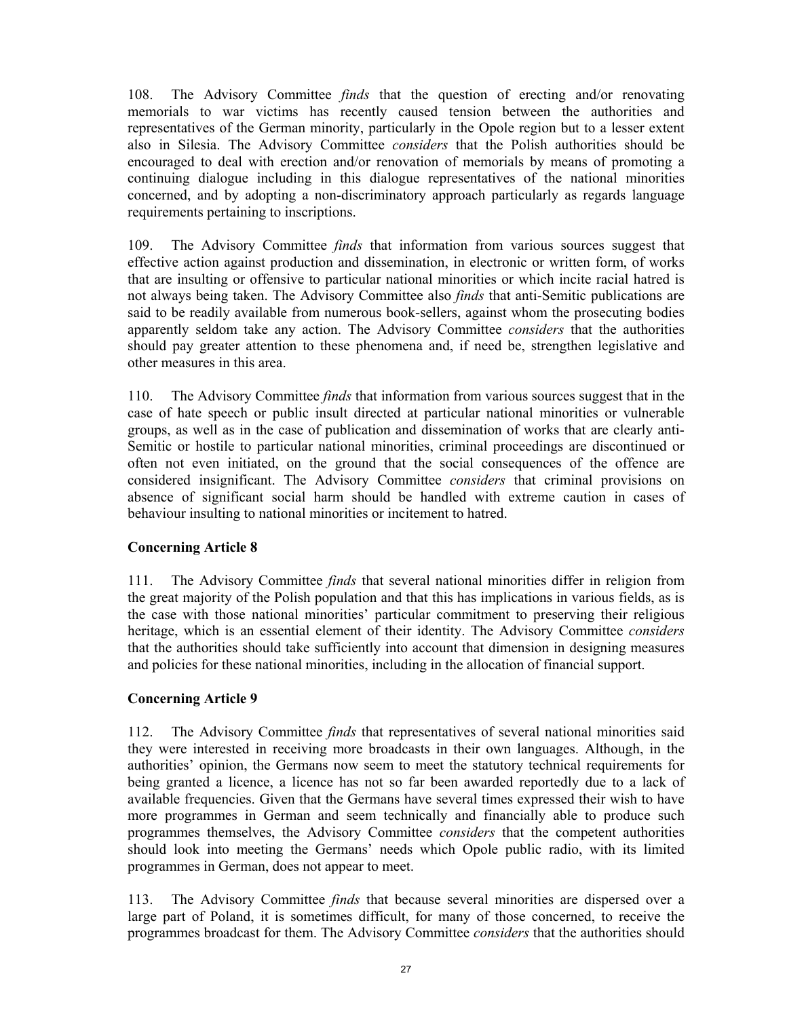108. The Advisory Committee *finds* that the question of erecting and/or renovating memorials to war victims has recently caused tension between the authorities and representatives of the German minority, particularly in the Opole region but to a lesser extent also in Silesia. The Advisory Committee *considers* that the Polish authorities should be encouraged to deal with erection and/or renovation of memorials by means of promoting a continuing dialogue including in this dialogue representatives of the national minorities concerned, and by adopting a non-discriminatory approach particularly as regards language requirements pertaining to inscriptions.

109. The Advisory Committee *finds* that information from various sources suggest that effective action against production and dissemination, in electronic or written form, of works that are insulting or offensive to particular national minorities or which incite racial hatred is not always being taken. The Advisory Committee also *finds* that anti-Semitic publications are said to be readily available from numerous book-sellers, against whom the prosecuting bodies apparently seldom take any action. The Advisory Committee *considers* that the authorities should pay greater attention to these phenomena and, if need be, strengthen legislative and other measures in this area.

110. The Advisory Committee *finds* that information from various sources suggest that in the case of hate speech or public insult directed at particular national minorities or vulnerable groups, as well as in the case of publication and dissemination of works that are clearly anti-Semitic or hostile to particular national minorities, criminal proceedings are discontinued or often not even initiated, on the ground that the social consequences of the offence are considered insignificant. The Advisory Committee *considers* that criminal provisions on absence of significant social harm should be handled with extreme caution in cases of behaviour insulting to national minorities or incitement to hatred.

## **Concerning Article 8**

111. The Advisory Committee *finds* that several national minorities differ in religion from the great majority of the Polish population and that this has implications in various fields, as is the case with those national minorities' particular commitment to preserving their religious heritage, which is an essential element of their identity. The Advisory Committee *considers* that the authorities should take sufficiently into account that dimension in designing measures and policies for these national minorities, including in the allocation of financial support.

#### **Concerning Article 9**

112. The Advisory Committee *finds* that representatives of several national minorities said they were interested in receiving more broadcasts in their own languages. Although, in the authorities' opinion, the Germans now seem to meet the statutory technical requirements for being granted a licence, a licence has not so far been awarded reportedly due to a lack of available frequencies. Given that the Germans have several times expressed their wish to have more programmes in German and seem technically and financially able to produce such programmes themselves, the Advisory Committee *considers* that the competent authorities should look into meeting the Germans' needs which Opole public radio, with its limited programmes in German, does not appear to meet.

113. The Advisory Committee *finds* that because several minorities are dispersed over a large part of Poland, it is sometimes difficult, for many of those concerned, to receive the programmes broadcast for them. The Advisory Committee *considers* that the authorities should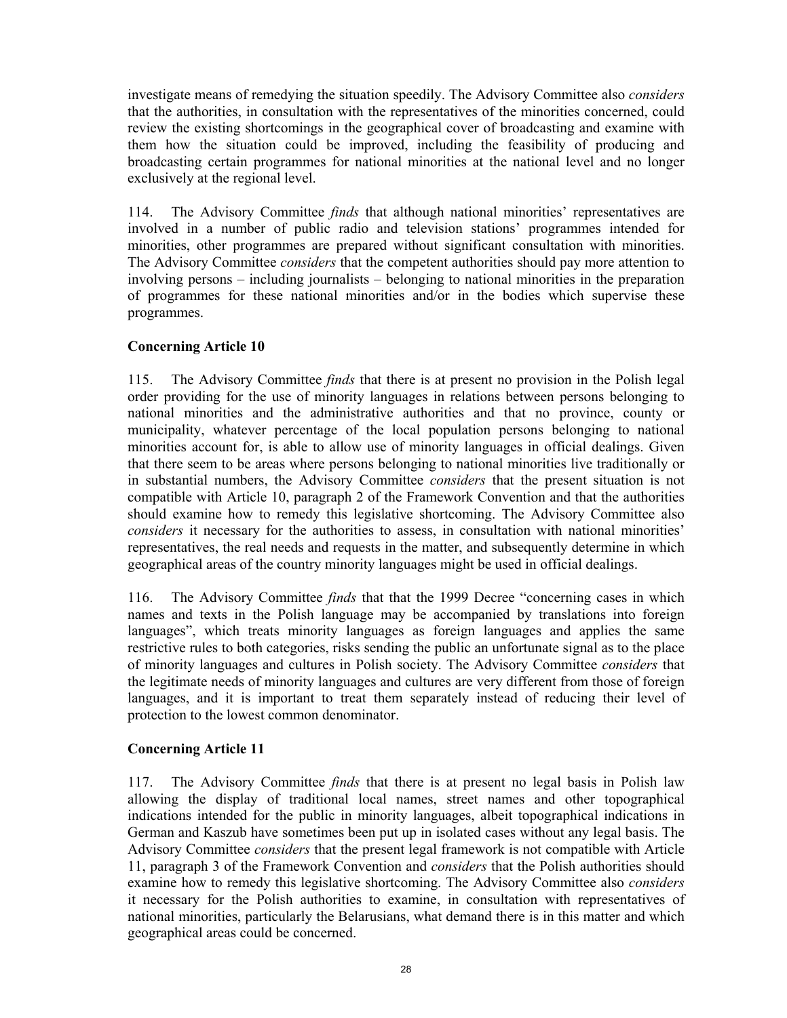investigate means of remedying the situation speedily. The Advisory Committee also *considers* that the authorities, in consultation with the representatives of the minorities concerned, could review the existing shortcomings in the geographical cover of broadcasting and examine with them how the situation could be improved, including the feasibility of producing and broadcasting certain programmes for national minorities at the national level and no longer exclusively at the regional level.

114. The Advisory Committee *finds* that although national minorities' representatives are involved in a number of public radio and television stations' programmes intended for minorities, other programmes are prepared without significant consultation with minorities. The Advisory Committee *considers* that the competent authorities should pay more attention to involving persons – including journalists – belonging to national minorities in the preparation of programmes for these national minorities and/or in the bodies which supervise these programmes.

## **Concerning Article 10**

115. The Advisory Committee *finds* that there is at present no provision in the Polish legal order providing for the use of minority languages in relations between persons belonging to national minorities and the administrative authorities and that no province, county or municipality, whatever percentage of the local population persons belonging to national minorities account for, is able to allow use of minority languages in official dealings. Given that there seem to be areas where persons belonging to national minorities live traditionally or in substantial numbers, the Advisory Committee *considers* that the present situation is not compatible with Article 10, paragraph 2 of the Framework Convention and that the authorities should examine how to remedy this legislative shortcoming. The Advisory Committee also *considers* it necessary for the authorities to assess, in consultation with national minorities' representatives, the real needs and requests in the matter, and subsequently determine in which geographical areas of the country minority languages might be used in official dealings.

116. The Advisory Committee *finds* that that the 1999 Decree "concerning cases in which names and texts in the Polish language may be accompanied by translations into foreign languages", which treats minority languages as foreign languages and applies the same restrictive rules to both categories, risks sending the public an unfortunate signal as to the place of minority languages and cultures in Polish society. The Advisory Committee *considers* that the legitimate needs of minority languages and cultures are very different from those of foreign languages, and it is important to treat them separately instead of reducing their level of protection to the lowest common denominator.

## **Concerning Article 11**

117. The Advisory Committee *finds* that there is at present no legal basis in Polish law allowing the display of traditional local names, street names and other topographical indications intended for the public in minority languages, albeit topographical indications in German and Kaszub have sometimes been put up in isolated cases without any legal basis. The Advisory Committee *considers* that the present legal framework is not compatible with Article 11, paragraph 3 of the Framework Convention and *considers* that the Polish authorities should examine how to remedy this legislative shortcoming. The Advisory Committee also *considers* it necessary for the Polish authorities to examine, in consultation with representatives of national minorities, particularly the Belarusians, what demand there is in this matter and which geographical areas could be concerned.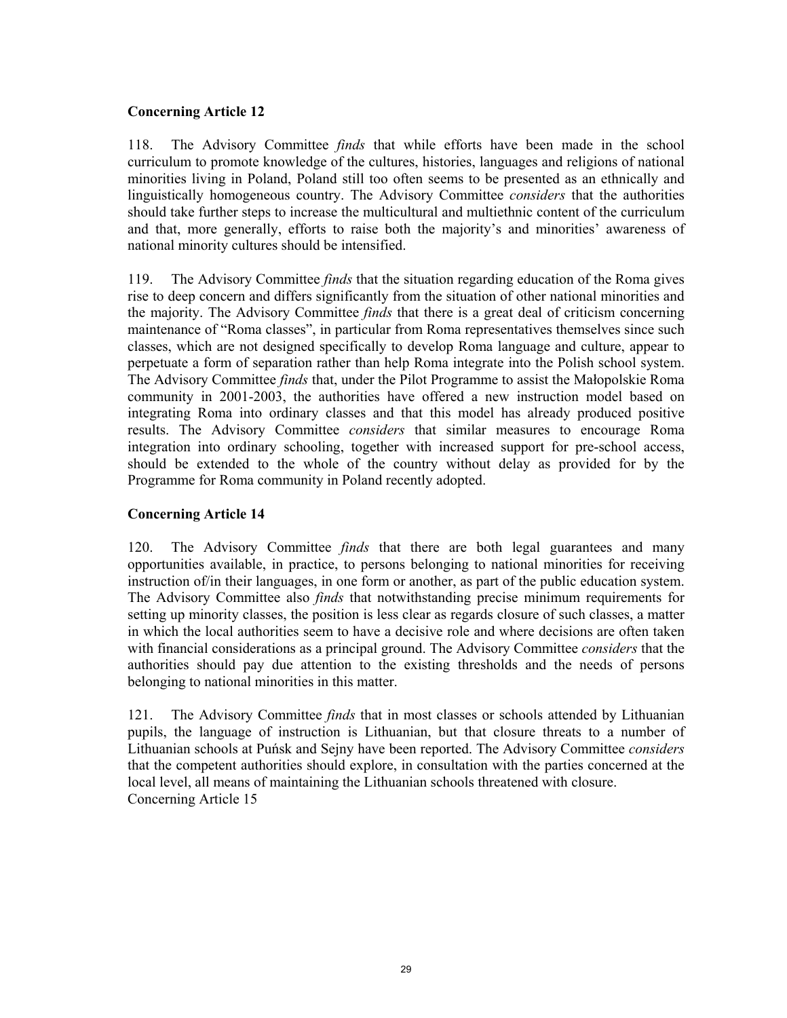### **Concerning Article 12**

118. The Advisory Committee *finds* that while efforts have been made in the school curriculum to promote knowledge of the cultures, histories, languages and religions of national minorities living in Poland, Poland still too often seems to be presented as an ethnically and linguistically homogeneous country. The Advisory Committee *considers* that the authorities should take further steps to increase the multicultural and multiethnic content of the curriculum and that, more generally, efforts to raise both the majority's and minorities' awareness of national minority cultures should be intensified.

119. The Advisory Committee *finds* that the situation regarding education of the Roma gives rise to deep concern and differs significantly from the situation of other national minorities and the majority. The Advisory Committee *finds* that there is a great deal of criticism concerning maintenance of "Roma classes", in particular from Roma representatives themselves since such classes, which are not designed specifically to develop Roma language and culture, appear to perpetuate a form of separation rather than help Roma integrate into the Polish school system. The Advisory Committee *finds* that, under the Pilot Programme to assist the Małopolskie Roma community in 2001-2003, the authorities have offered a new instruction model based on integrating Roma into ordinary classes and that this model has already produced positive results. The Advisory Committee *considers* that similar measures to encourage Roma integration into ordinary schooling, together with increased support for pre-school access, should be extended to the whole of the country without delay as provided for by the Programme for Roma community in Poland recently adopted.

### **Concerning Article 14**

120. The Advisory Committee *finds* that there are both legal guarantees and many opportunities available, in practice, to persons belonging to national minorities for receiving instruction of/in their languages, in one form or another, as part of the public education system. The Advisory Committee also *finds* that notwithstanding precise minimum requirements for setting up minority classes, the position is less clear as regards closure of such classes, a matter in which the local authorities seem to have a decisive role and where decisions are often taken with financial considerations as a principal ground. The Advisory Committee *considers* that the authorities should pay due attention to the existing thresholds and the needs of persons belonging to national minorities in this matter.

121. The Advisory Committee *finds* that in most classes or schools attended by Lithuanian pupils, the language of instruction is Lithuanian, but that closure threats to a number of Lithuanian schools at Puńsk and Sejny have been reported. The Advisory Committee *considers* that the competent authorities should explore, in consultation with the parties concerned at the local level, all means of maintaining the Lithuanian schools threatened with closure. Concerning Article 15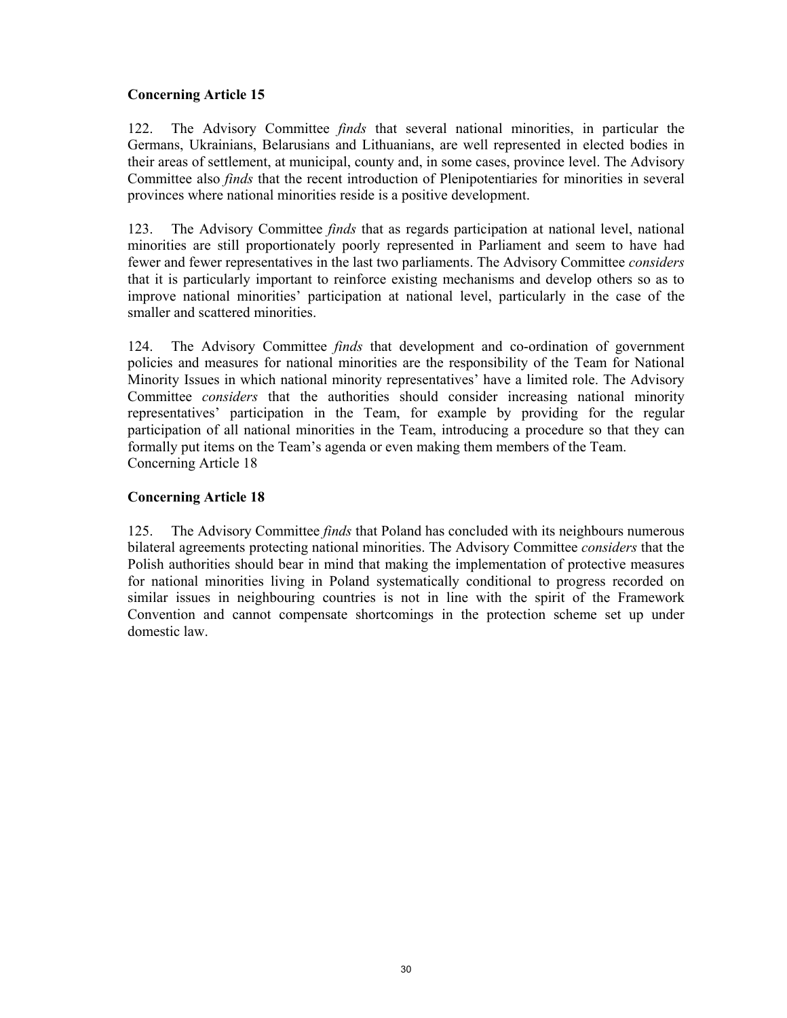## **Concerning Article 15**

122. The Advisory Committee *finds* that several national minorities, in particular the Germans, Ukrainians, Belarusians and Lithuanians, are well represented in elected bodies in their areas of settlement, at municipal, county and, in some cases, province level. The Advisory Committee also *finds* that the recent introduction of Plenipotentiaries for minorities in several provinces where national minorities reside is a positive development.

123. The Advisory Committee *finds* that as regards participation at national level, national minorities are still proportionately poorly represented in Parliament and seem to have had fewer and fewer representatives in the last two parliaments. The Advisory Committee *considers* that it is particularly important to reinforce existing mechanisms and develop others so as to improve national minorities' participation at national level, particularly in the case of the smaller and scattered minorities.

124. The Advisory Committee *finds* that development and co-ordination of government policies and measures for national minorities are the responsibility of the Team for National Minority Issues in which national minority representatives' have a limited role. The Advisory Committee *considers* that the authorities should consider increasing national minority representatives' participation in the Team, for example by providing for the regular participation of all national minorities in the Team, introducing a procedure so that they can formally put items on the Team's agenda or even making them members of the Team. Concerning Article 18

## **Concerning Article 18**

125. The Advisory Committee *finds* that Poland has concluded with its neighbours numerous bilateral agreements protecting national minorities. The Advisory Committee *considers* that the Polish authorities should bear in mind that making the implementation of protective measures for national minorities living in Poland systematically conditional to progress recorded on similar issues in neighbouring countries is not in line with the spirit of the Framework Convention and cannot compensate shortcomings in the protection scheme set up under domestic law.